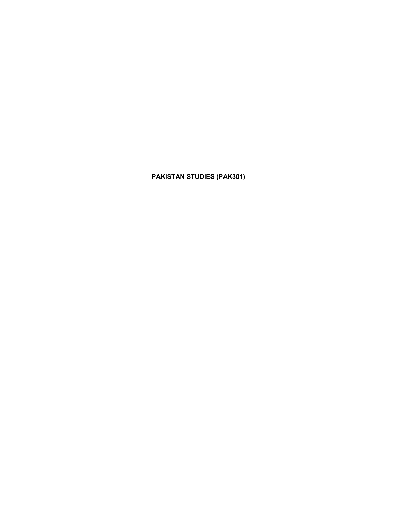PAKISTAN STUDIES (PAK301)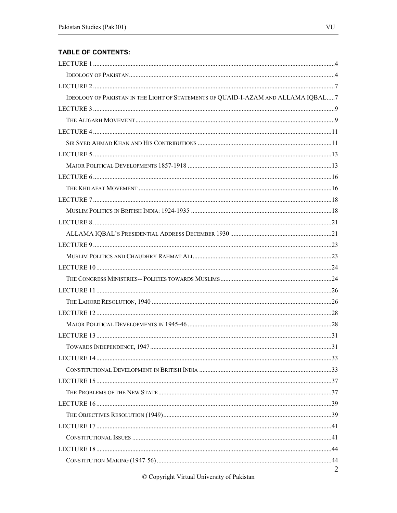## **TABLE OF CONTENTS:**

| IDEOLOGY OF PAKISTAN IN THE LIGHT OF STATEMENTS OF QUAID-I-AZAM AND ALLAMA IQBAL7 |                |
|-----------------------------------------------------------------------------------|----------------|
|                                                                                   |                |
|                                                                                   |                |
|                                                                                   |                |
|                                                                                   |                |
|                                                                                   |                |
|                                                                                   |                |
|                                                                                   |                |
|                                                                                   |                |
|                                                                                   |                |
|                                                                                   |                |
|                                                                                   |                |
|                                                                                   |                |
|                                                                                   |                |
|                                                                                   |                |
|                                                                                   |                |
|                                                                                   |                |
|                                                                                   |                |
|                                                                                   |                |
|                                                                                   |                |
|                                                                                   |                |
|                                                                                   |                |
|                                                                                   |                |
|                                                                                   |                |
|                                                                                   |                |
|                                                                                   |                |
|                                                                                   |                |
|                                                                                   |                |
|                                                                                   |                |
|                                                                                   |                |
|                                                                                   |                |
|                                                                                   |                |
|                                                                                   |                |
|                                                                                   | $\overline{2}$ |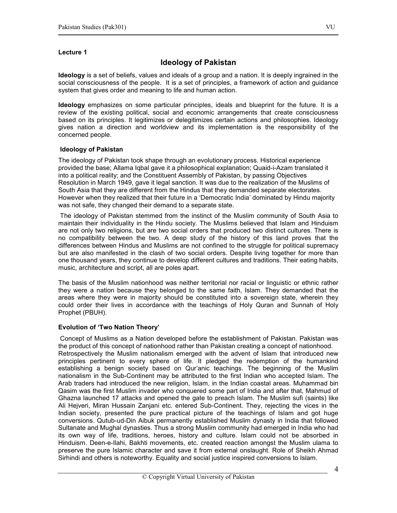## Ideology of Pakistan

Ideology is a set of beliefs, values and ideals of a group and a nation. It is deeply ingrained in the social consciousness of the people. It is a set of principles, a framework of action and guidance system that gives order and meaning to life and human action.

Ideology emphasizes on some particular principles, ideals and blueprint for the future. It is a review of the existing political, social and economic arrangements that create consciousness based on its principles. It legitimizes or delegitimizes certain actions and philosophies. Ideology gives nation a direction and worldview and its implementation is the responsibility of the concerned people.

## Ideology of Pakistan

The ideology of Pakistan took shape through an evolutionary process. Historical experience provided the base; Allama Iqbal gave it a philosophical explanation; Quaid-i-Azam translated it into a political reality; and the Constituent Assembly of Pakistan, by passing Objectives Resolution in March 1949, gave it legal sanction. It was due to the realization of the Muslims of South Asia that they are different from the Hindus that they demanded separate electorates. However when they realized that their future in a 'Democratic India' dominated by Hindu majority was not safe, they changed their demand to a separate state.

The ideology of Pakistan stemmed from the instinct of the Muslim community of South Asia to maintain their individuality in the Hindu society. The Muslims believed that Islam and Hinduism are not only two religions, but are two social orders that produced two distinct cultures. There is no compatibility between the two. A deep study of the history of this land proves that the differences between Hindus and Muslims are not confined to the struggle for political supremacy but are also manifested in the clash of two social orders. Despite living together for more than one thousand years, they continue to develop different cultures and traditions. Their eating habits, music, architecture and script, all are poles apart.

The basis of the Muslim nationhood was neither territorial nor racial or linguistic or ethnic rather they were a nation because they belonged to the same faith, Islam. They demanded that the areas where they were in majority should be constituted into a sovereign state, wherein they could order their lives in accordance with the teachings of Holy Quran and Sunnah of Holy Prophet (PBUH).

## Evolution of 'Two Nation Theory'

 Concept of Muslims as a Nation developed before the establishment of Pakistan. Pakistan was the product of this concept of nationhood rather than Pakistan creating a concept of nationhood. Retrospectively the Muslim nationalism emerged with the advent of Islam that introduced new principles pertinent to every sphere of life. It pledged the redemption of the humankind establishing a benign society based on Qur'anic teachings. The beginning of the Muslim nationalism in the Sub-Continent may be attributed to the first Indian who accepted Islam. The Arab traders had introduced the new religion, Islam, in the Indian coastal areas. Muhammad bin Qasim was the first Muslim invader who conquered some part of India and after that, Mahmud of Ghazna launched 17 attacks and opened the gate to preach Islam. The Muslim sufi (saints) like Ali Hejveri, Miran Hussain Zanjani etc. entered Sub-Continent. They, rejecting the vices in the Indian society, presented the pure practical picture of the teachings of Islam and got huge conversions. Qutub-ud-Din Aibuk permanently established Muslim dynasty in India that followed Sultanate and Mughal dynasties. Thus a strong Muslim community had emerged in India who had its own way of life, traditions, heroes, history and culture. Islam could not be absorbed in Hinduism. Deen-e-Ilahi, Bakhti movements, etc. created reaction amongst the Muslim ulama to preserve the pure Islamic character and save it from external onslaught. Role of Sheikh Ahmad Sirhindi and others is noteworthy. Equality and social justice inspired conversions to Islam.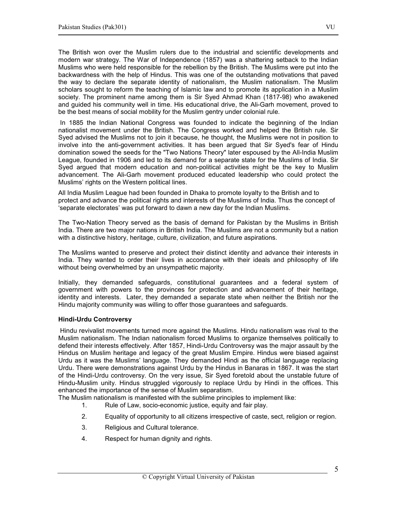The British won over the Muslim rulers due to the industrial and scientific developments and modern war strategy. The War of Independence (1857) was a shattering setback to the Indian Muslims who were held responsible for the rebellion by the British. The Muslims were put into the backwardness with the help of Hindus. This was one of the outstanding motivations that paved the way to declare the separate identity of nationalism, the Muslim nationalism. The Muslim scholars sought to reform the teaching of Islamic law and to promote its application in a Muslim society. The prominent name among them is Sir Syed Ahmad Khan (1817-98) who awakened and guided his community well in time. His educational drive, the Ali-Garh movement, proved to be the best means of social mobility for the Muslim gentry under colonial rule.

 In 1885 the Indian National Congress was founded to indicate the beginning of the Indian nationalist movement under the British. The Congress worked and helped the British rule. Sir Syed advised the Muslims not to join it because, he thought, the Muslims were not in position to involve into the anti-government activities. It has been argued that Sir Syed's fear of Hindu domination sowed the seeds for the "Two Nations Theory" later espoused by the All-India Muslim League, founded in 1906 and led to its demand for a separate state for the Muslims of India. Sir Syed argued that modern education and non-political activities might be the key to Muslim advancement. The Ali-Garh movement produced educated leadership who could protect the Muslims' rights on the Western political lines.

All India Muslim League had been founded in Dhaka to promote loyalty to the British and to protect and advance the political rights and interests of the Muslims of India. Thus the concept of 'separate electorates' was put forward to dawn a new day for the Indian Muslims.

The Two-Nation Theory served as the basis of demand for Pakistan by the Muslims in British India. There are two major nations in British India. The Muslims are not a community but a nation with a distinctive history, heritage, culture, civilization, and future aspirations.

The Muslims wanted to preserve and protect their distinct identity and advance their interests in India. They wanted to order their lives in accordance with their ideals and philosophy of life without being overwhelmed by an unsympathetic majority.

Initially, they demanded safeguards, constitutional guarantees and a federal system of government with powers to the provinces for protection and advancement of their heritage, identity and interests. Later, they demanded a separate state when neither the British nor the Hindu majority community was willing to offer those guarantees and safeguards.

## Hindi-Urdu Controversy

 Hindu revivalist movements turned more against the Muslims. Hindu nationalism was rival to the Muslim nationalism. The Indian nationalism forced Muslims to organize themselves politically to defend their interests effectively. After 1857, Hindi-Urdu Controversy was the major assault by the Hindus on Muslim heritage and legacy of the great Muslim Empire. Hindus were biased against Urdu as it was the Muslims' language. They demanded Hindi as the official language replacing Urdu. There were demonstrations against Urdu by the Hindus in Banaras in 1867. It was the start of the Hindi-Urdu controversy. On the very issue, Sir Syed foretold about the unstable future of Hindu-Muslim unity. Hindus struggled vigorously to replace Urdu by Hindi in the offices. This enhanced the importance of the sense of Muslim separatism.

The Muslim nationalism is manifested with the sublime principles to implement like:

- 1. Rule of Law, socio-economic justice, equity and fair play.
- 2. Equality of opportunity to all citizens irrespective of caste, sect, religion or region.
- 3. Religious and Cultural tolerance.
- 4. Respect for human dignity and rights.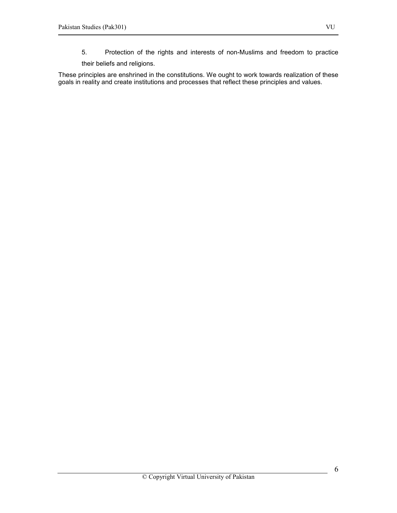- 5. Protection of the rights and interests of non-Muslims and freedom to practice
- their beliefs and religions.

These principles are enshrined in the constitutions. We ought to work towards realization of these goals in reality and create institutions and processes that reflect these principles and values.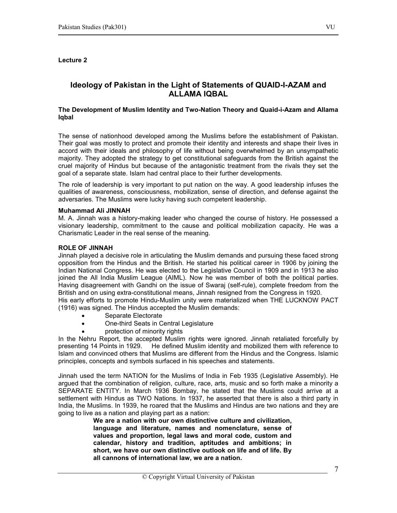## Ideology of Pakistan in the Light of Statements of QUAID-I-AZAM and ALLAMA IQBAL

#### The Development of Muslim Identity and Two-Nation Theory and Quaid-i-Azam and Allama Iqbal

The sense of nationhood developed among the Muslims before the establishment of Pakistan. Their goal was mostly to protect and promote their identity and interests and shape their lives in accord with their ideals and philosophy of life without being overwhelmed by an unsympathetic majority. They adopted the strategy to get constitutional safeguards from the British against the cruel majority of Hindus but because of the antagonistic treatment from the rivals they set the goal of a separate state. Islam had central place to their further developments.

The role of leadership is very important to put nation on the way. A good leadership infuses the qualities of awareness, consciousness, mobilization, sense of direction, and defense against the adversaries. The Muslims were lucky having such competent leadership.

#### Muhammad Ali JINNAH

M. A. Jinnah was a history-making leader who changed the course of history. He possessed a visionary leadership, commitment to the cause and political mobilization capacity. He was a Charismatic Leader in the real sense of the meaning.

#### ROLE OF JINNAH

Jinnah played a decisive role in articulating the Muslim demands and pursuing these faced strong opposition from the Hindus and the British. He started his political career in 1906 by joining the Indian National Congress. He was elected to the Legislative Council in 1909 and in 1913 he also joined the All India Muslim League (AIML). Now he was member of both the political parties. Having disagreement with Gandhi on the issue of Swaraj (self-rule), complete freedom from the British and on using extra-constitutional means, Jinnah resigned from the Congress in 1920.

His early efforts to promote Hindu-Muslim unity were materialized when THE LUCKNOW PACT (1916) was signed. The Hindus accepted the Muslim demands:

- Separate Electorate
- One-third Seats in Central Legislature
- protection of minority rights

In the Nehru Report, the accepted Muslim rights were ignored. Jinnah retaliated forcefully by presenting 14 Points in 1929. He defined Muslim identity and mobilized them with reference to Islam and convinced others that Muslims are different from the Hindus and the Congress. Islamic principles, concepts and symbols surfaced in his speeches and statements.

Jinnah used the term NATION for the Muslims of India in Feb 1935 (Legislative Assembly). He argued that the combination of religion, culture, race, arts, music and so forth make a minority a SEPARATE ENTITY. In March 1936 Bombay, he stated that the Muslims could arrive at a settlement with Hindus as TWO Nations. In 1937, he asserted that there is also a third party in India, the Muslims. In 1939, he roared that the Muslims and Hindus are two nations and they are going to live as a nation and playing part as a nation:

We are a nation with our own distinctive culture and civilization, language and literature, names and nomenclature, sense of values and proportion, legal laws and moral code, custom and calendar, history and tradition, aptitudes and ambitions; in short, we have our own distinctive outlook on life and of life. By all cannons of international law, we are a nation.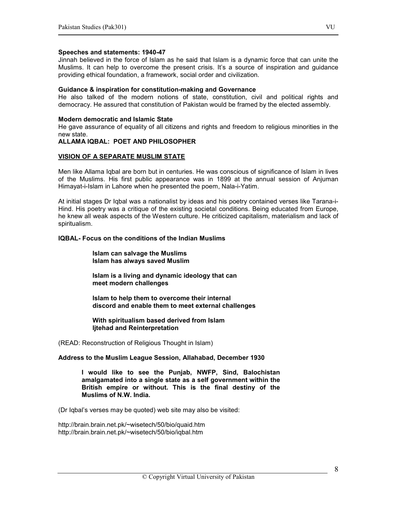#### Speeches and statements: 1940-47

Jinnah believed in the force of Islam as he said that Islam is a dynamic force that can unite the Muslims. It can help to overcome the present crisis. It's a source of inspiration and guidance providing ethical foundation, a framework, social order and civilization.

#### Guidance & inspiration for constitution-making and Governance

He also talked of the modern notions of state, constitution, civil and political rights and democracy. He assured that constitution of Pakistan would be framed by the elected assembly.

#### Modern democratic and Islamic State

He gave assurance of equality of all citizens and rights and freedom to religious minorities in the new state.

#### ALLAMA IQBAL: POET AND PHILOSOPHER

#### VISION OF A SEPARATE MUSLIM STATE

Men like Allama Iqbal are born but in centuries. He was conscious of significance of Islam in lives of the Muslims. His first public appearance was in 1899 at the annual session of Anjuman Himayat-i-Islam in Lahore when he presented the poem, Nala-i-Yatim.

At initial stages Dr Iqbal was a nationalist by ideas and his poetry contained verses like Tarana-i-Hind. His poetry was a critique of the existing societal conditions. Being educated from Europe, he knew all weak aspects of the Western culture. He criticized capitalism, materialism and lack of spiritualism.

## IQBAL- Focus on the conditions of the Indian Muslims

 Islam can salvage the Muslims Islam has always saved Muslim

 Islam is a living and dynamic ideology that can meet modern challenges

 Islam to help them to overcome their internal discord and enable them to meet external challenges

 With spiritualism based derived from Islam Ijtehad and Reinterpretation

(READ: Reconstruction of Religious Thought in Islam)

#### Address to the Muslim League Session, Allahabad, December 1930

I would like to see the Punjab, NWFP, Sind, Balochistan amalgamated into a single state as a self government within the British empire or without. This is the final destiny of the Muslims of N.W. India.

(Dr Iqbal's verses may be quoted) web site may also be visited:

http://brain.brain.net.pk/~wisetech/50/bio/quaid.htm http://brain.brain.net.pk/~wisetech/50/bio/iqbal.htm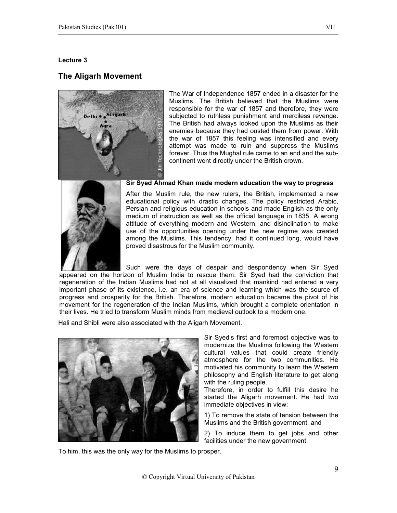## The Aligarh Movement



The War of Independence 1857 ended in a disaster for the Muslims. The British believed that the Muslims were responsible for the war of 1857 and therefore, they were subjected to ruthless punishment and merciless revenge. The British had always looked upon the Muslims as their enemies because they had ousted them from power. With the war of 1857 this feeling was intensified and every attempt was made to ruin and suppress the Muslims forever. Thus the Mughal rule came to an end and the subcontinent went directly under the British crown.



#### Sir Syed Ahmad Khan made modern education the way to progress

After the Muslim rule, the new rulers, the British, implemented a new educational policy with drastic changes. The policy restricted Arabic, Persian and religious education in schools and made English as the only medium of instruction as well as the official language in 1835. A wrong attitude of everything modern and Western, and disinclination to make use of the opportunities opening under the new regime was created among the Muslims. This tendency, had it continued long, would have proved disastrous for the Muslim community.

Such were the days of despair and despondency when Sir Syed appeared on the horizon of Muslim India to rescue them. Sir Syed had the conviction that regeneration of the Indian Muslims had not at all visualized that mankind had entered a very important phase of its existence, i.e. an era of science and learning which was the source of progress and prosperity for the British. Therefore, modern education became the pivot of his movement for the regeneration of the Indian Muslims, which brought a complete orientation in their lives. He tried to transform Muslim minds from medieval outlook to a modern one.

Hali and Shibli were also associated with the Aligarh Movement.



Sir Syed's first and foremost objective was to modernize the Muslims following the Western cultural values that could create friendly atmosphere for the two communities. He motivated his community to learn the Western philosophy and English literature to get along with the ruling people.

Therefore, in order to fulfill this desire he started the Aligarh movement. He had two immediate objectives in view:

1) To remove the state of tension between the Muslims and the British government, and

2) To induce them to get jobs and other facilities under the new government.

To him, this was the only way for the Muslims to prosper.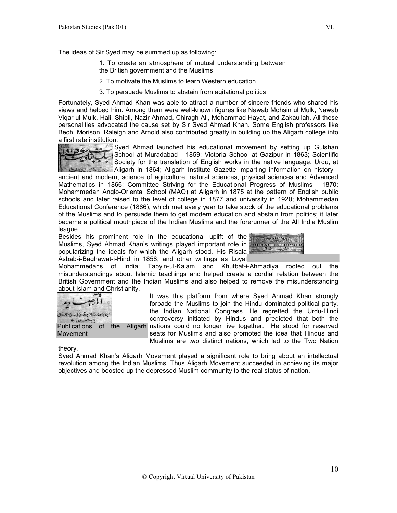The ideas of Sir Syed may be summed up as following:

- 1. To create an atmosphere of mutual understanding between the British government and the Muslims
- 2. To motivate the Muslims to learn Western education
- 3. To persuade Muslims to abstain from agitational politics

Fortunately, Syed Ahmad Khan was able to attract a number of sincere friends who shared his views and helped him. Among them were well-known figures like Nawab Mohsin ul Mulk, Nawab Viqar ul Mulk, Hali, Shibli, Nazir Ahmad, Chiragh Ali, Mohammad Hayat, and Zakaullah. All these personalities advocated the cause set by Sir Syed Ahmad Khan. Some English professors like Bech, Morison, Raleigh and Arnold also contributed greatly in building up the Aligarh college into a first rate institution.



Syed Ahmad launched his educational movement by setting up Gulshan School at Muradabad - 1859; Victoria School at Gazipur in 1863; Scientific Society for the translation of English works in the native language, Urdu, at Aligarh in 1864; Aligarh Institute Gazette imparting information on history -

ancient and modern, science of agriculture, natural sciences, physical sciences and Advanced Mathematics in 1866; Committee Striving for the Educational Progress of Muslims - 1870; Mohammedan Anglo-Oriental School (MAO) at Aligarh in 1875 at the pattern of English public schools and later raised to the level of college in 1877 and university in 1920; Mohammedan Educational Conference (1886), which met every year to take stock of the educational problems of the Muslims and to persuade them to get modern education and abstain from politics; it later became a political mouthpiece of the Indian Muslims and the forerunner of the All India Muslim league.

Besides his prominent role in the educational uplift of the Muslims, Syed Ahmad Khan's writings played important role in **social REFORMER** popularizing the ideals for which the Aligarh stood. His Risala Asbab-i-Baghawat-i-Hind in 1858; and other writings as Loyal



Mohammedans of India; Tabyin-ul-Kalam and Khutbat-i-Ahmadiya rooted out the misunderstandings about Islamic teachings and helped create a cordial relation between the British Government and the Indian Muslims and also helped to remove the misunderstanding about Islam and Christianity.

5285.3000000000 Publications of the **Movement** 

It was this platform from where Syed Ahmad Khan strongly forbade the Muslims to join the Hindu dominated political party, the Indian National Congress. He regretted the Urdu-Hindi controversy initiated by Hindus and predicted that both the Aligarh nations could no longer live together. He stood for reserved seats for Muslims and also promoted the idea that Hindus and Muslims are two distinct nations, which led to the Two Nation

#### theory.

Syed Ahmad Khan's Aligarh Movement played a significant role to bring about an intellectual revolution among the Indian Muslims. Thus Aligarh Movement succeeded in achieving its major objectives and boosted up the depressed Muslim community to the real status of nation.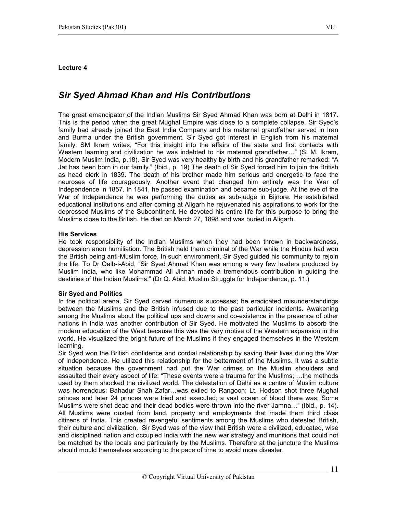# Sir Syed Ahmad Khan and His Contributions

The great emancipator of the Indian Muslims Sir Syed Ahmad Khan was born at Delhi in 1817. This is the period when the great Mughal Empire was close to a complete collapse. Sir Syed's family had already joined the East India Company and his maternal grandfather served in Iran and Burma under the British government. Sir Syed got interest in English from his maternal family. SM Ikram writes, "For this insight into the affairs of the state and first contacts with Western learning and civilization he was indebted to his maternal grandfather…" (S. M. Ikram, Modern Muslim India, p.18). Sir Syed was very healthy by birth and his grandfather remarked: "A Jat has been born in our family." (Ibid., p. 19) The death of Sir Syed forced him to join the British as head clerk in 1839. The death of his brother made him serious and energetic to face the neuroses of life courageously. Another event that changed him entirely was the War of Independence in 1857. In 1841, he passed examination and became sub-judge. At the eve of the War of Independence he was performing the duties as sub-judge in Bijnore. He established educational institutions and after coming at Aligarh he rejuvenated his aspirations to work for the depressed Muslims of the Subcontinent. He devoted his entire life for this purpose to bring the Muslims close to the British. He died on March 27, 1898 and was buried in Aligarh.

## His Services

He took responsibility of the Indian Muslims when they had been thrown in backwardness, depression andn humiliation. The British held them criminal of the War while the Hindus had won the British being anti-Muslim force. In such environment, Sir Syed guided his community to rejoin the life. To Dr Qalb-i-Abid, "Sir Syed Ahmad Khan was among a very few leaders produced by Muslim India, who like Mohammad Ali Jinnah made a tremendous contribution in guiding the destinies of the Indian Muslims." (Dr Q. Abid, Muslim Struggle for Independence, p. 11.)

#### Sir Syed and Politics

In the political arena, Sir Syed carved numerous successes; he eradicated misunderstandings between the Muslims and the British infused due to the past particular incidents. Awakening among the Muslims about the political ups and downs and co-existence in the presence of other nations in India was another contribution of Sir Syed. He motivated the Muslims to absorb the modern education of the West because this was the very motive of the Western expansion in the world. He visualized the bright future of the Muslims if they engaged themselves in the Western learning.

Sir Syed won the British confidence and cordial relationship by saving their lives during the War of Independence. He utilized this relationship for the betterment of the Muslims. It was a subtle situation because the government had put the War crimes on the Muslim shoulders and assaulted their every aspect of life: "These events were a trauma for the Muslims; …the methods used by them shocked the civilized world. The detestation of Delhi as a centre of Muslim culture was horrendous; Bahadur Shah Zafar…was exiled to Rangoon; Lt. Hodson shot three Mughal princes and later 24 princes were tried and executed; a vast ocean of blood there was; Some Muslims were shot dead and their dead bodies were thrown into the river Jamna…" (Ibid., p. 14). All Muslims were ousted from land, property and employments that made them third class citizens of India. This created revengeful sentiments among the Muslims who detested British, their culture and civilization. Sir Syed was of the view that British were a civilized, educated, wise and disciplined nation and occupied India with the new war strategy and munitions that could not be matched by the locals and particularly by the Muslims. Therefore at the juncture the Muslims should mould themselves according to the pace of time to avoid more disaster.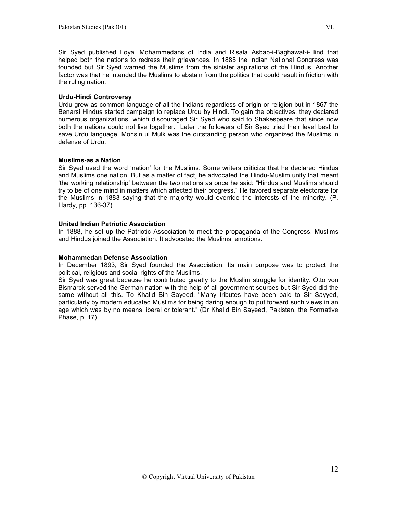Sir Syed published Loyal Mohammedans of India and Risala Asbab-i-Baghawat-i-Hind that helped both the nations to redress their grievances. In 1885 the Indian National Congress was founded but Sir Syed warned the Muslims from the sinister aspirations of the Hindus. Another factor was that he intended the Muslims to abstain from the politics that could result in friction with the ruling nation.

## Urdu-Hindi Controversy

Urdu grew as common language of all the Indians regardless of origin or religion but in 1867 the Benarsi Hindus started campaign to replace Urdu by Hindi. To gain the objectives, they declared numerous organizations, which discouraged Sir Syed who said to Shakespeare that since now both the nations could not live together. Later the followers of Sir Syed tried their level best to save Urdu language. Mohsin ul Mulk was the outstanding person who organized the Muslims in defense of Urdu.

## Muslims-as a Nation

Sir Syed used the word 'nation' for the Muslims. Some writers criticize that he declared Hindus and Muslims one nation. But as a matter of fact, he advocated the Hindu-Muslim unity that meant 'the working relationship' between the two nations as once he said: "Hindus and Muslims should try to be of one mind in matters which affected their progress." He favored separate electorate for the Muslims in 1883 saying that the majority would override the interests of the minority. (P. Hardy, pp. 136-37)

## United Indian Patriotic Association

In 1888, he set up the Patriotic Association to meet the propaganda of the Congress. Muslims and Hindus joined the Association. It advocated the Muslims' emotions.

#### Mohammedan Defense Association

In December 1893, Sir Syed founded the Association. Its main purpose was to protect the political, religious and social rights of the Muslims.

Sir Syed was great because he contributed greatly to the Muslim struggle for identity. Otto von Bismarck served the German nation with the help of all government sources but Sir Syed did the same without all this. To Khalid Bin Sayeed, "Many tributes have been paid to Sir Sayyed, particularly by modern educated Muslims for being daring enough to put forward such views in an age which was by no means liberal or tolerant." (Dr Khalid Bin Sayeed, Pakistan, the Formative Phase, p. 17).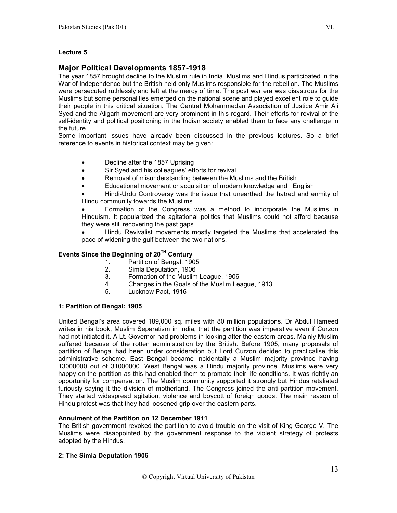## Major Political Developments 1857-1918

The year 1857 brought decline to the Muslim rule in India. Muslims and Hindus participated in the War of Independence but the British held only Muslims responsible for the rebellion. The Muslims were persecuted ruthlessly and left at the mercy of time. The post war era was disastrous for the Muslims but some personalities emerged on the national scene and played excellent role to guide their people in this critical situation. The Central Mohammedan Association of Justice Amir Ali Syed and the Aligarh movement are very prominent in this regard. Their efforts for revival of the self-identity and political positioning in the Indian society enabled them to face any challenge in the future.

Some important issues have already been discussed in the previous lectures. So a brief reference to events in historical context may be given:

- Decline after the 1857 Uprising
- Sir Syed and his colleagues' efforts for revival
- Removal of misunderstanding between the Muslims and the British
- Educational movement or acquisition of modern knowledge and English

• Hindi-Urdu Controversy was the issue that unearthed the hatred and enmity of Hindu community towards the Muslims.

• Formation of the Congress was a method to incorporate the Muslims in Hinduism. It popularized the agitational politics that Muslims could not afford because they were still recovering the past gaps.

• Hindu Revivalist movements mostly targeted the Muslims that accelerated the pace of widening the gulf between the two nations.

## Events Since the Beginning of  $20<sup>TH</sup>$  Century

- 1. Partition of Bengal, 1905
- 2. Simla Deputation, 1906<br>3. Formation of the Muslim
- 3. Formation of the Muslim League, 1906
- 4. Changes in the Goals of the Muslim League, 1913
- 5. Lucknow Pact, 1916

#### 1: Partition of Bengal: 1905

United Bengal's area covered 189,000 sq. miles with 80 million populations. Dr Abdul Hameed writes in his book, Muslim Separatism in India, that the partition was imperative even if Curzon had not initiated it. A Lt. Governor had problems in looking after the eastern areas. Mainly Muslim suffered because of the rotten administration by the British. Before 1905, many proposals of partition of Bengal had been under consideration but Lord Curzon decided to practicalise this administrative scheme. East Bengal became incidentally a Muslim majority province having 13000000 out of 31000000. West Bengal was a Hindu majority province. Muslims were very happy on the partition as this had enabled them to promote their life conditions. It was rightly an opportunity for compensation. The Muslim community supported it strongly but Hindus retaliated furiously saying it the division of motherland. The Congress joined the anti-partition movement. They started widespread agitation, violence and boycott of foreign goods. The main reason of Hindu protest was that they had loosened grip over the eastern parts.

#### Annulment of the Partition on 12 December 1911

The British government revoked the partition to avoid trouble on the visit of King George V. The Muslims were disappointed by the government response to the violent strategy of protests adopted by the Hindus.

#### 2: The Simla Deputation 1906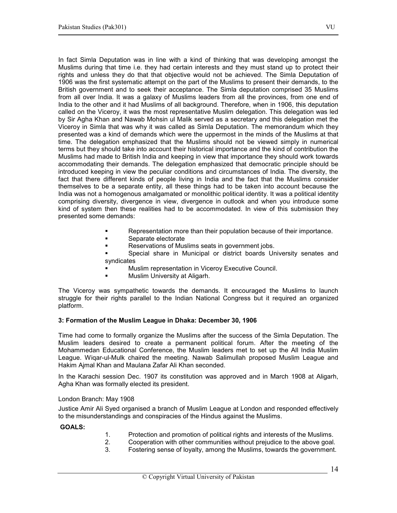In fact Simla Deputation was in line with a kind of thinking that was developing amongst the Muslims during that time i.e. they had certain interests and they must stand up to protect their rights and unless they do that that objective would not be achieved. The Simla Deputation of 1906 was the first systematic attempt on the part of the Muslims to present their demands, to the British government and to seek their acceptance. The Simla deputation comprised 35 Muslims from all over India. It was a galaxy of Muslims leaders from all the provinces, from one end of India to the other and it had Muslims of all background. Therefore, when in 1906, this deputation called on the Viceroy, it was the most representative Muslim delegation. This delegation was led by Sir Agha Khan and Nawab Mohsin ul Malik served as a secretary and this delegation met the Viceroy in Simla that was why it was called as Simla Deputation. The memorandum which they presented was a kind of demands which were the uppermost in the minds of the Muslims at that time. The delegation emphasized that the Muslims should not be viewed simply in numerical terms but they should take into account their historical importance and the kind of contribution the Muslims had made to British India and keeping in view that importance they should work towards accommodating their demands. The delegation emphasized that democratic principle should be introduced keeping in view the peculiar conditions and circumstances of India. The diversity, the fact that there different kinds of people living in India and the fact that the Muslims consider themselves to be a separate entity, all these things had to be taken into account because the India was not a homogenous amalgamated or monolithic political identity. It was a political identity comprising diversity, divergence in view, divergence in outlook and when you introduce some kind of system then these realities had to be accommodated. In view of this submission they presented some demands:

- Representation more than their population because of their importance.
- **Separate electorate**
- Reservations of Muslims seats in government jobs.
- Special share in Municipal or district boards University senates and syndicates
	- Muslim representation in Viceroy Executive Council.
	- Muslim University at Aligarh.

The Viceroy was sympathetic towards the demands. It encouraged the Muslims to launch struggle for their rights parallel to the Indian National Congress but it required an organized platform.

#### 3: Formation of the Muslim League in Dhaka: December 30, 1906

Time had come to formally organize the Muslims after the success of the Simla Deputation. The Muslim leaders desired to create a permanent political forum. After the meeting of the Mohammedan Educational Conference, the Muslim leaders met to set up the All India Muslim League. Wiqar-ul-Mulk chaired the meeting. Nawab Salimullah proposed Muslim League and Hakim Ajmal Khan and Maulana Zafar Ali Khan seconded.

In the Karachi session Dec. 1907 its constitution was approved and in March 1908 at Aligarh, Agha Khan was formally elected its president.

London Branch: May 1908

Justice Amir Ali Syed organised a branch of Muslim League at London and responded effectively to the misunderstandings and conspiracies of the Hindus against the Muslims.

## GOALS:

- 1. Protection and promotion of political rights and interests of the Muslims.
- 2. Cooperation with other communities without prejudice to the above goal.<br>3. Eostering sense of lovalty, among the Muslims, towards the government.
- 3. Fostering sense of loyalty, among the Muslims, towards the government.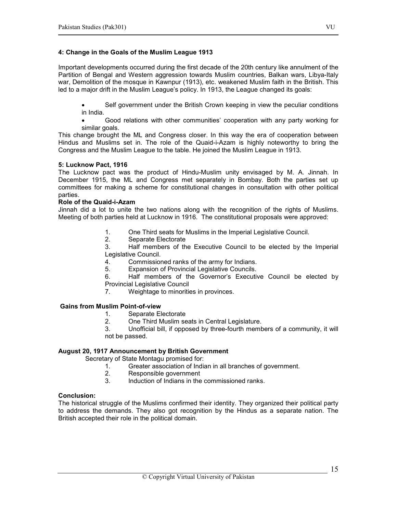## 4: Change in the Goals of the Muslim League 1913

Important developments occurred during the first decade of the 20th century like annulment of the Partition of Bengal and Western aggression towards Muslim countries, Balkan wars, Libya-Italy war, Demolition of the mosque in Kawnpur (1913), etc. weakened Muslim faith in the British. This led to a major drift in the Muslim League's policy. In 1913, the League changed its goals:

• Self government under the British Crown keeping in view the peculiar conditions in India.

• Good relations with other communities' cooperation with any party working for similar goals.

This change brought the ML and Congress closer. In this way the era of cooperation between Hindus and Muslims set in. The role of the Quaid-i-Azam is highly noteworthy to bring the Congress and the Muslim League to the table. He joined the Muslim League in 1913.

#### 5: Lucknow Pact, 1916

The Lucknow pact was the product of Hindu-Muslim unity envisaged by M. A. Jinnah. In December 1915, the ML and Congress met separately in Bombay. Both the parties set up committees for making a scheme for constitutional changes in consultation with other political parties.

#### Role of the Quaid-i-Azam

Jinnah did a lot to unite the two nations along with the recognition of the rights of Muslims. Meeting of both parties held at Lucknow in 1916. The constitutional proposals were approved:

- 1. One Third seats for Muslims in the Imperial Legislative Council.
- 2. Separate Electorate

3. Half members of the Executive Council to be elected by the Imperial Legislative Council.

- 4. Commissioned ranks of the army for Indians.
- 5. Expansion of Provincial Legislative Councils.

6. Half members of the Governor's Executive Council be elected by Provincial Legislative Council

7. Weightage to minorities in provinces.

#### Gains from Muslim Point-of-view

- 1. Separate Electorate
- 2. One Third Muslim seats in Central Legislature.

3. Unofficial bill, if opposed by three-fourth members of a community, it will not be passed.

#### August 20, 1917 Announcement by British Government

Secretary of State Montagu promised for:

- 1. Greater association of Indian in all branches of government.
- Responsible government
- 3. Induction of Indians in the commissioned ranks.

#### Conclusion:

The historical struggle of the Muslims confirmed their identity. They organized their political party to address the demands. They also got recognition by the Hindus as a separate nation. The British accepted their role in the political domain.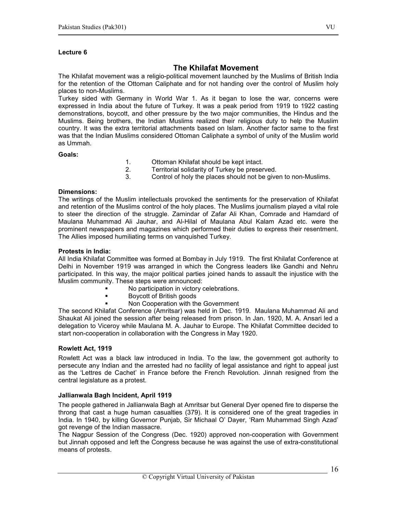## The Khilafat Movement

The Khilafat movement was a religio-political movement launched by the Muslims of British India for the retention of the Ottoman Caliphate and for not handing over the control of Muslim holy places to non-Muslims.

Turkey sided with Germany in World War 1. As it began to lose the war, concerns were expressed in India about the future of Turkey. It was a peak period from 1919 to 1922 casting demonstrations, boycott, and other pressure by the two major communities, the Hindus and the Muslims. Being brothers, the Indian Muslims realized their religious duty to help the Muslim country. It was the extra territorial attachments based on Islam. Another factor same to the first was that the Indian Muslims considered Ottoman Caliphate a symbol of unity of the Muslim world as Ummah.

#### Goals:

- 1. Ottoman Khilafat should be kept intact.
- 2. Territorial solidarity of Turkey be preserved.
- 3. Control of holy the places should not be given to non-Muslims.

#### Dimensions:

The writings of the Muslim intellectuals provoked the sentiments for the preservation of Khilafat and retention of the Muslims control of the holy places. The Muslims journalism played a vital role to steer the direction of the struggle. Zamindar of Zafar Ali Khan, Comrade and Hamdard of Maulana Muhammad Ali Jauhar, and Al-Hilal of Maulana Abul Kalam Azad etc. were the prominent newspapers and magazines which performed their duties to express their resentment. The Allies imposed humiliating terms on vanquished Turkey.

## Protests in India:

All India Khilafat Committee was formed at Bombay in July 1919. The first Khilafat Conference at Delhi in November 1919 was arranged in which the Congress leaders like Gandhi and Nehru participated. In this way, the major political parties joined hands to assault the injustice with the Muslim community. These steps were announced:

- No participation in victory celebrations.
- Boycott of British goods
- Non Cooperation with the Government

The second Khilafat Conference (Amritsar) was held in Dec. 1919. Maulana Muhammad Ali and Shaukat Ali joined the session after being released from prison. In Jan. 1920, M. A. Ansari led a delegation to Viceroy while Maulana M. A. Jauhar to Europe. The Khilafat Committee decided to start non-cooperation in collaboration with the Congress in May 1920.

#### Rowlett Act, 1919

Rowlett Act was a black law introduced in India. To the law, the government got authority to persecute any Indian and the arrested had no facility of legal assistance and right to appeal just as the 'Lettres de Cachet' in France before the French Revolution. Jinnah resigned from the central legislature as a protest.

#### Jallianwala Bagh Incident, April 1919

The people gathered in Jallianwala Bagh at Amritsar but General Dyer opened fire to disperse the throng that cast a huge human casualties (379). It is considered one of the great tragedies in India. In 1940, by killing Governor Punjab, Sir Michaal O' Dayer, 'Ram Muhammad Singh Azad' got revenge of the Indian massacre.

The Nagpur Session of the Congress (Dec. 1920) approved non-cooperation with Government but Jinnah opposed and left the Congress because he was against the use of extra-constitutional means of protests.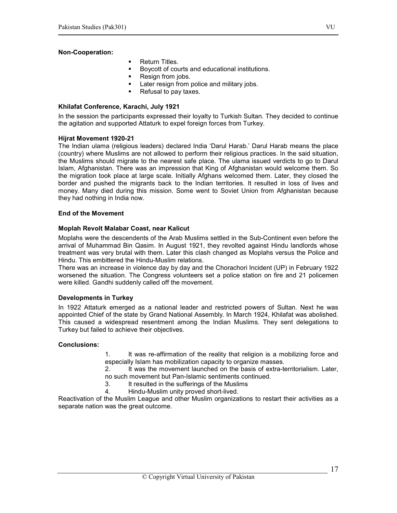## Non-Cooperation:

- Return Titles.
- Boycott of courts and educational institutions.
- **Resign from jobs.**
- Later resign from police and military jobs.
- Refusal to pay taxes.

#### Khilafat Conference, Karachi, July 1921

In the session the participants expressed their loyalty to Turkish Sultan. They decided to continue the agitation and supported Attaturk to expel foreign forces from Turkey.

## Hijrat Movement 1920-21

The Indian ulama (religious leaders) declared India 'Darul Harab.' Darul Harab means the place (country) where Muslims are not allowed to perform their religious practices. In the said situation, the Muslims should migrate to the nearest safe place. The ulama issued verdicts to go to Darul Islam, Afghanistan. There was an impression that King of Afghanistan would welcome them. So the migration took place at large scale. Initially Afghans welcomed them. Later, they closed the border and pushed the migrants back to the Indian territories. It resulted in loss of lives and money. Many died during this mission. Some went to Soviet Union from Afghanistan because they had nothing in India now.

#### End of the Movement

## Moplah Revolt Malabar Coast, near Kalicut

Moplahs were the descendents of the Arab Muslims settled in the Sub-Continent even before the arrival of Muhammad Bin Qasim. In August 1921, they revolted against Hindu landlords whose treatment was very brutal with them. Later this clash changed as Moplahs versus the Police and Hindu. This embittered the Hindu-Muslim relations.

There was an increase in violence day by day and the Chorachori Incident (UP) in February 1922 worsened the situation. The Congress volunteers set a police station on fire and 21 policemen were killed. Gandhi suddenly called off the movement.

#### Developments in Turkey

In 1922 Attaturk emerged as a national leader and restricted powers of Sultan. Next he was appointed Chief of the state by Grand National Assembly. In March 1924, Khilafat was abolished. This caused a widespread resentment among the Indian Muslims. They sent delegations to Turkey but failed to achieve their objectives.

#### Conclusions:

1. It was re-affirmation of the reality that religion is a mobilizing force and especially Islam has mobilization capacity to organize masses.

2. It was the movement launched on the basis of extra-territorialism. Later, no such movement but Pan-Islamic sentiments continued.

- 3. It resulted in the sufferings of the Muslims
- 4. Hindu-Muslim unity proved short-lived.

Reactivation of the Muslim League and other Muslim organizations to restart their activities as a separate nation was the great outcome.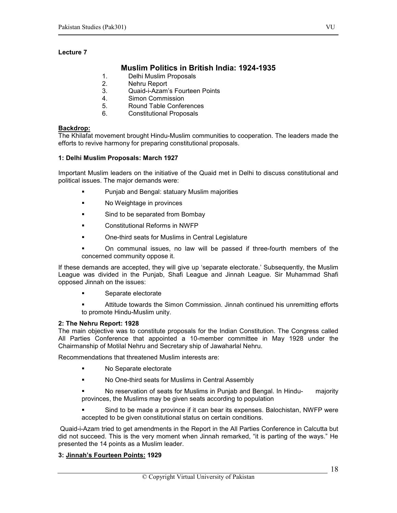## Muslim Politics in British India: 1924-1935

- 1. Delhi Muslim Proposals
- 2. Nehru Report
- 3. Quaid-i-Azam's Fourteen Points
- 4. Simon Commission
- 5. Round Table Conferences
- 6. Constitutional Proposals

## Backdrop:

The Khilafat movement brought Hindu-Muslim communities to cooperation. The leaders made the efforts to revive harmony for preparing constitutional proposals.

## 1: Delhi Muslim Proposals: March 1927

Important Muslim leaders on the initiative of the Quaid met in Delhi to discuss constitutional and political issues. The major demands were:

- **Punjab and Bengal: statuary Muslim majorities**
- No Weightage in provinces
- **Sind to be separated from Bombay**
- Constitutional Reforms in NWFP
- **EXECUTE:** One-third seats for Muslims in Central Legislature
- On communal issues, no law will be passed if three-fourth members of the concerned community oppose it.

If these demands are accepted, they will give up 'separate electorate.' Subsequently, the Muslim League was divided in the Punjab, Shafi League and Jinnah League. Sir Muhammad Shafi opposed Jinnah on the issues:

- **Separate electorate**
- Attitude towards the Simon Commission. Jinnah continued his unremitting efforts to promote Hindu-Muslim unity.

## 2: The Nehru Report: 1928

The main objective was to constitute proposals for the Indian Constitution. The Congress called All Parties Conference that appointed a 10-member committee in May 1928 under the Chairmanship of Motilal Nehru and Secretary ship of Jawaharlal Nehru.

Recommendations that threatened Muslim interests are:

- No Separate electorate
- No One-third seats for Muslims in Central Assembly
- No reservation of seats for Muslims in Punjab and Bengal. In Hindu- majority provinces, the Muslims may be given seats according to population
- Sind to be made a province if it can bear its expenses. Balochistan, NWFP were accepted to be given constitutional status on certain conditions.

 Quaid-i-Azam tried to get amendments in the Report in the All Parties Conference in Calcutta but did not succeed. This is the very moment when Jinnah remarked, "it is parting of the ways." He presented the 14 points as a Muslim leader.

## 3: Jinnah's Fourteen Points: 1929

18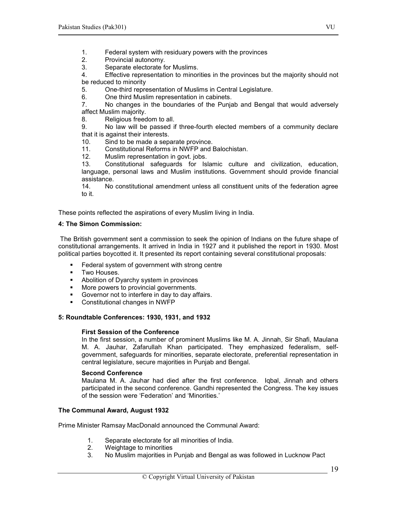- 1. Federal system with residuary powers with the provinces
- 2. Provincial autonomy.
- 3. Separate electorate for Muslims.<br>4. Effective representation to minor

Effective representation to minorities in the provinces but the majority should not be reduced to minority

5. One-third representation of Muslims in Central Legislature.

6. One third Muslim representation in cabinets.

7. No changes in the boundaries of the Punjab and Bengal that would adversely affect Muslim majority.

8. Religious freedom to all.

9. No law will be passed if three-fourth elected members of a community declare that it is against their interests.

10. Sind to be made a separate province.

11. Constitutional Reforms in NWFP and Balochistan.<br>12. Muslim representation in govt. jobs.

12. Muslim representation in govt. jobs.<br>13. Constitutional safeguards for Isl

13. Constitutional safeguards for Islamic culture and civilization, education, language, personal laws and Muslim institutions. Government should provide financial assistance.<br>14. No

14. No constitutional amendment unless all constituent units of the federation agree to it.

These points reflected the aspirations of every Muslim living in India.

## 4: The Simon Commission:

The British government sent a commission to seek the opinion of Indians on the future shape of constitutional arrangements. It arrived in India in 1927 and it published the report in 1930. Most political parties boycotted it. It presented its report containing several constitutional proposals:

- **Federal system of government with strong centre**
- **Two Houses.**<br>• Abolition of D
- Abolition of Dyarchy system in provinces
- More powers to provincial governments.
- Governor not to interfere in day to day affairs.
- Constitutional changes in NWFP

## 5: Roundtable Conferences: 1930, 1931, and 1932

## First Session of the Conference

In the first session, a number of prominent Muslims like M. A. Jinnah, Sir Shafi, Maulana M. A. Jauhar, Zafarullah Khan participated. They emphasized federalism, selfgovernment, safeguards for minorities, separate electorate, preferential representation in central legislature, secure majorities in Punjab and Bengal.

## Second Conference

Maulana M. A. Jauhar had died after the first conference. Iqbal, Jinnah and others participated in the second conference. Gandhi represented the Congress. The key issues of the session were 'Federation' and 'Minorities.'

## The Communal Award, August 1932

Prime Minister Ramsay MacDonald announced the Communal Award:

- 1. Separate electorate for all minorities of India.
- Weightage to minorities
- 3. No Muslim majorities in Punjab and Bengal as was followed in Lucknow Pact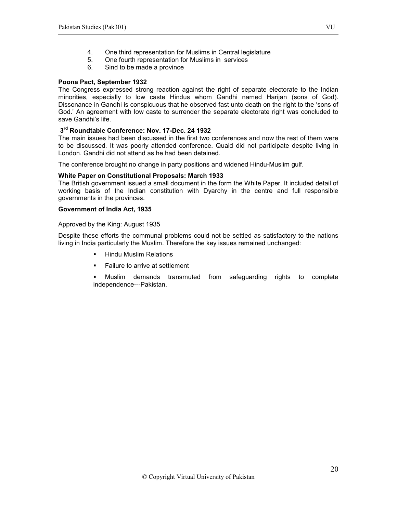- 5. One fourth representation for Muslims in services
- 6. Sind to be made a province

#### Poona Pact, September 1932

The Congress expressed strong reaction against the right of separate electorate to the Indian minorities, especially to low caste Hindus whom Gandhi named Harijan (sons of God). Dissonance in Gandhi is conspicuous that he observed fast unto death on the right to the 'sons of God.' An agreement with low caste to surrender the separate electorate right was concluded to save Gandhi's life.

## 3<sup>rd</sup> Roundtable Conference: Nov. 17-Dec. 24 1932

The main issues had been discussed in the first two conferences and now the rest of them were to be discussed. It was poorly attended conference. Quaid did not participate despite living in London. Gandhi did not attend as he had been detained.

The conference brought no change in party positions and widened Hindu-Muslim gulf.

## White Paper on Constitutional Proposals: March 1933

The British government issued a small document in the form the White Paper. It included detail of working basis of the Indian constitution with Dyarchy in the centre and full responsible governments in the provinces.

#### Government of India Act, 1935

Approved by the King: August 1935

Despite these efforts the communal problems could not be settled as satisfactory to the nations living in India particularly the Muslim. Therefore the key issues remained unchanged:

- **Hindu Muslim Relations**
- Failure to arrive at settlement

 Muslim demands transmuted from safeguarding rights to complete independence---Pakistan.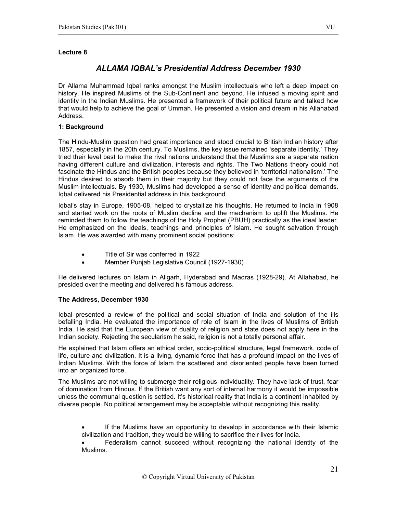## ALLAMA IQBAL's Presidential Address December 1930

Dr Allama Muhammad Iqbal ranks amongst the Muslim intellectuals who left a deep impact on history. He inspired Muslims of the Sub-Continent and beyond. He infused a moving spirit and identity in the Indian Muslims. He presented a framework of their political future and talked how that would help to achieve the goal of Ummah. He presented a vision and dream in his Allahabad Address.

## 1: Background

The Hindu-Muslim question had great importance and stood crucial to British Indian history after 1857, especially in the 20th century. To Muslims, the key issue remained 'separate identity.' They tried their level best to make the rival nations understand that the Muslims are a separate nation having different culture and civilization, interests and rights. The Two Nations theory could not fascinate the Hindus and the British peoples because they believed in 'territorial nationalism.' The Hindus desired to absorb them in their majority but they could not face the arguments of the Muslim intellectuals. By 1930, Muslims had developed a sense of identity and political demands. Iqbal delivered his Presidential address in this background.

Iqbal's stay in Europe, 1905-08, helped to crystallize his thoughts. He returned to India in 1908 and started work on the roots of Muslim decline and the mechanism to uplift the Muslims. He reminded them to follow the teachings of the Holy Prophet (PBUH) practically as the ideal leader. He emphasized on the ideals, teachings and principles of Islam. He sought salvation through Islam. He was awarded with many prominent social positions:

- Title of Sir was conferred in 1922
- Member Punjab Legislative Council (1927-1930)

He delivered lectures on Islam in Aligarh, Hyderabad and Madras (1928-29). At Allahabad, he presided over the meeting and delivered his famous address.

#### The Address, December 1930

Iqbal presented a review of the political and social situation of India and solution of the ills befalling India. He evaluated the importance of role of Islam in the lives of Muslims of British India. He said that the European view of duality of religion and state does not apply here in the Indian society. Rejecting the secularism he said, religion is not a totally personal affair.

He explained that Islam offers an ethical order, socio-political structure, legal framework, code of life, culture and civilization. It is a living, dynamic force that has a profound impact on the lives of Indian Muslims. With the force of Islam the scattered and disoriented people have been turned into an organized force.

The Muslims are not willing to submerge their religious individuality. They have lack of trust, fear of domination from Hindus. If the British want any sort of internal harmony it would be impossible unless the communal question is settled. It's historical reality that India is a continent inhabited by diverse people. No political arrangement may be acceptable without recognizing this reality.

If the Muslims have an opportunity to develop in accordance with their Islamic civilization and tradition, they would be willing to sacrifice their lives for India.

• Federalism cannot succeed without recognizing the national identity of the Muslims.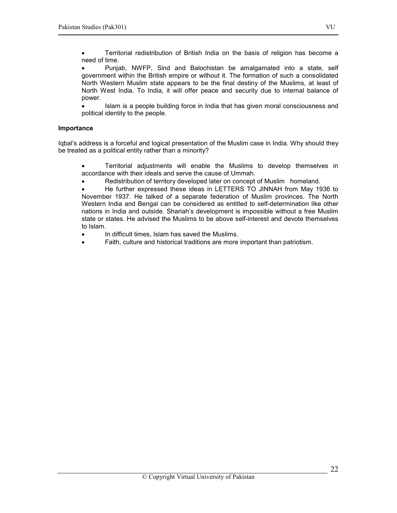• Territorial redistribution of British India on the basis of religion has become a need of time.

• Punjab, NWFP, Sind and Balochistan be amalgamated into a state, self government within the British empire or without it. The formation of such a consolidated North Western Muslim state appears to be the final destiny of the Muslims, at least of North West India. To India, it will offer peace and security due to internal balance of power.

• Islam is a people building force in India that has given moral consciousness and political identity to the people.

## Importance

Iqbal's address is a forceful and logical presentation of the Muslim case in India. Why should they be treated as a political entity rather than a minority?

• Territorial adjustments will enable the Muslims to develop themselves in accordance with their ideals and serve the cause of Ummah.

• Redistribution of territory developed later on concept of Muslim homeland.

• He further expressed these ideas in LETTERS TO JINNAH from May 1936 to November 1937. He talked of a separate federation of Muslim provinces. The North Western India and Bengal can be considered as entitled to self-determination like other nations in India and outside. Shariah's development is impossible without a free Muslim state or states. He advised the Muslims to be above self-interest and devote themselves to Islam.

- In difficult times, Islam has saved the Muslims.
- Faith, culture and historical traditions are more important than patriotism.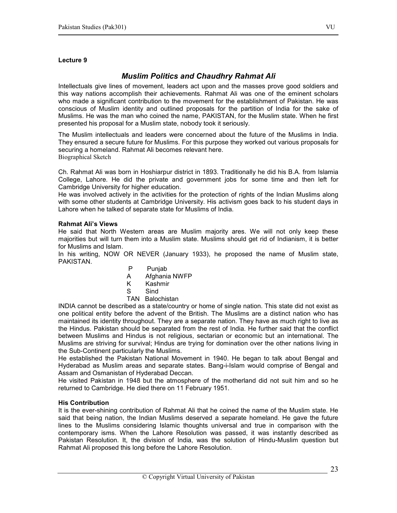## Muslim Politics and Chaudhry Rahmat Ali

Intellectuals give lines of movement, leaders act upon and the masses prove good soldiers and this way nations accomplish their achievements. Rahmat Ali was one of the eminent scholars who made a significant contribution to the movement for the establishment of Pakistan. He was conscious of Muslim identity and outlined proposals for the partition of India for the sake of Muslims. He was the man who coined the name, PAKISTAN, for the Muslim state. When he first presented his proposal for a Muslim state, nobody took it seriously.

The Muslim intellectuals and leaders were concerned about the future of the Muslims in India. They ensured a secure future for Muslims. For this purpose they worked out various proposals for securing a homeland. Rahmat Ali becomes relevant here. Biographical Sketch

Ch. Rahmat Ali was born in Hoshiarpur district in 1893. Traditionally he did his B.A. from Islamia College, Lahore. He did the private and government jobs for some time and then left for Cambridge University for higher education.

He was involved actively in the activities for the protection of rights of the Indian Muslims along with some other students at Cambridge University. His activism goes back to his student days in Lahore when he talked of separate state for Muslims of India.

#### Rahmat Ali's Views

He said that North Western areas are Muslim majority ares. We will not only keep these majorities but will turn them into a Muslim state. Muslims should get rid of Indianism, it is better for Muslims and Islam.

In his writing, NOW OR NEVER (January 1933), he proposed the name of Muslim state, PAKISTAN.

- P Punjab
- A Afghania NWFP
- K Kashmir
- **S** Sind
	- TAN Balochistan

INDIA cannot be described as a state/country or home of single nation. This state did not exist as one political entity before the advent of the British. The Muslims are a distinct nation who has maintained its identity throughout. They are a separate nation. They have as much right to live as the Hindus. Pakistan should be separated from the rest of India. He further said that the conflict between Muslims and Hindus is not religious, sectarian or economic but an international. The Muslims are striving for survival; Hindus are trying for domination over the other nations living in the Sub-Continent particularly the Muslims.

He established the Pakistan National Movement in 1940. He began to talk about Bengal and Hyderabad as Muslim areas and separate states. Bang-i-Islam would comprise of Bengal and Assam and Osmanistan of Hyderabad Deccan.

He visited Pakistan in 1948 but the atmosphere of the motherland did not suit him and so he returned to Cambridge. He died there on 11 February 1951.

#### His Contribution

It is the ever-shining contribution of Rahmat Ali that he coined the name of the Muslim state. He said that being nation, the Indian Muslims deserved a separate homeland. He gave the future lines to the Muslims considering Islamic thoughts universal and true in comparison with the contemporary isms. When the Lahore Resolution was passed, it was instantly described as Pakistan Resolution. It, the division of India, was the solution of Hindu-Muslim question but Rahmat Ali proposed this long before the Lahore Resolution.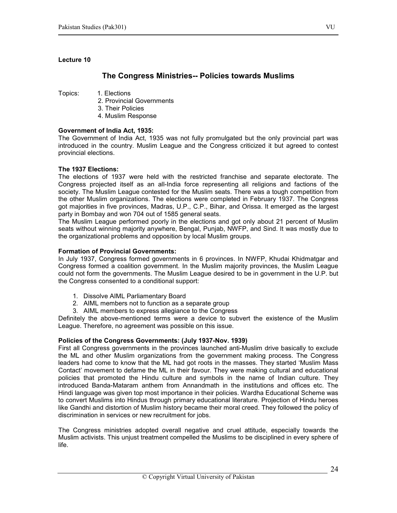## The Congress Ministries-- Policies towards Muslims

Topics: 1. Elections

- 2. Provincial Governments
- 3. Their Policies
- 4. Muslim Response

## Government of India Act, 1935:

The Government of India Act, 1935 was not fully promulgated but the only provincial part was introduced in the country. Muslim League and the Congress criticized it but agreed to contest provincial elections.

## The 1937 Elections:

The elections of 1937 were held with the restricted franchise and separate electorate. The Congress projected itself as an all-India force representing all religions and factions of the society. The Muslim League contested for the Muslim seats. There was a tough competition from the other Muslim organizations. The elections were completed in February 1937. The Congress got majorities in five provinces, Madras, U.P., C.P., Bihar, and Orissa. It emerged as the largest party in Bombay and won 704 out of 1585 general seats.

The Muslim League performed poorly in the elections and got only about 21 percent of Muslim seats without winning majority anywhere, Bengal, Punjab, NWFP, and Sind. It was mostly due to the organizational problems and opposition by local Muslim groups.

#### Formation of Provincial Governments:

In July 1937, Congress formed governments in 6 provinces. In NWFP, Khudai Khidmatgar and Congress formed a coalition government. In the Muslim majority provinces, the Muslim League could not form the governments. The Muslim League desired to be in government in the U.P. but the Congress consented to a conditional support:

- 1. Dissolve AIML Parliamentary Board
- 2. AIML members not to function as a separate group
- 3. AIML members to express allegiance to the Congress

Definitely the above-mentioned terms were a device to subvert the existence of the Muslim League. Therefore, no agreement was possible on this issue.

#### Policies of the Congress Governments: (July 1937-Nov. 1939)

First all Congress governments in the provinces launched anti-Muslim drive basically to exclude the ML and other Muslim organizations from the government making process. The Congress leaders had come to know that the ML had got roots in the masses. They started 'Muslim Mass Contact' movement to defame the ML in their favour. They were making cultural and educational policies that promoted the Hindu culture and symbols in the name of Indian culture. They introduced Banda-Mataram anthem from Annandmath in the institutions and offices etc. The Hindi language was given top most importance in their policies. Wardha Educational Scheme was to convert Muslims into Hindus through primary educational literature. Projection of Hindu heroes like Gandhi and distortion of Muslim history became their moral creed. They followed the policy of discrimination in services or new recruitment for jobs.

The Congress ministries adopted overall negative and cruel attitude, especially towards the Muslim activists. This unjust treatment compelled the Muslims to be disciplined in every sphere of life.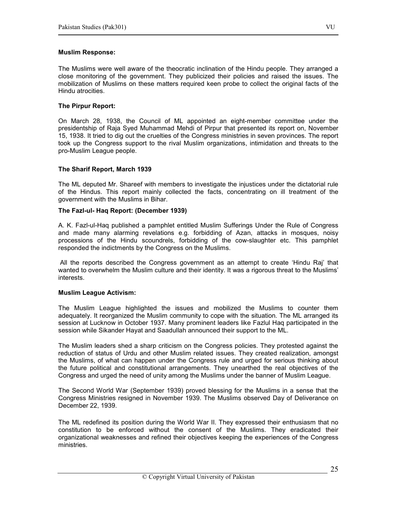## Muslim Response:

The Muslims were well aware of the theocratic inclination of the Hindu people. They arranged a close monitoring of the government. They publicized their policies and raised the issues. The mobilization of Muslims on these matters required keen probe to collect the original facts of the Hindu atrocities.

## The Pirpur Report:

On March 28, 1938, the Council of ML appointed an eight-member committee under the presidentship of Raja Syed Muhammad Mehdi of Pirpur that presented its report on, November 15, 1938. It tried to dig out the cruelties of the Congress ministries in seven provinces. The report took up the Congress support to the rival Muslim organizations, intimidation and threats to the pro-Muslim League people.

## The Sharif Report, March 1939

The ML deputed Mr. Shareef with members to investigate the injustices under the dictatorial rule of the Hindus. This report mainly collected the facts, concentrating on ill treatment of the government with the Muslims in Bihar.

## The Fazl-ul- Haq Report: (December 1939)

A. K. Fazl-ul-Haq published a pamphlet entitled Muslim Sufferings Under the Rule of Congress and made many alarming revelations e.g. forbidding of Azan, attacks in mosques, noisy processions of the Hindu scoundrels, forbidding of the cow-slaughter etc. This pamphlet responded the indictments by the Congress on the Muslims.

All the reports described the Congress government as an attempt to create 'Hindu Raj' that wanted to overwhelm the Muslim culture and their identity. It was a rigorous threat to the Muslims' interests.

#### Muslim League Activism:

The Muslim League highlighted the issues and mobilized the Muslims to counter them adequately. It reorganized the Muslim community to cope with the situation. The ML arranged its session at Lucknow in October 1937. Many prominent leaders like Fazlul Haq participated in the session while Sikander Hayat and Saadullah announced their support to the ML.

The Muslim leaders shed a sharp criticism on the Congress policies. They protested against the reduction of status of Urdu and other Muslim related issues. They created realization, amongst the Muslims, of what can happen under the Congress rule and urged for serious thinking about the future political and constitutional arrangements. They unearthed the real objectives of the Congress and urged the need of unity among the Muslims under the banner of Muslim League.

The Second World War (September 1939) proved blessing for the Muslims in a sense that the Congress Ministries resigned in November 1939. The Muslims observed Day of Deliverance on December 22, 1939.

The ML redefined its position during the World War II. They expressed their enthusiasm that no constitution to be enforced without the consent of the Muslims. They eradicated their organizational weaknesses and refined their objectives keeping the experiences of the Congress ministries.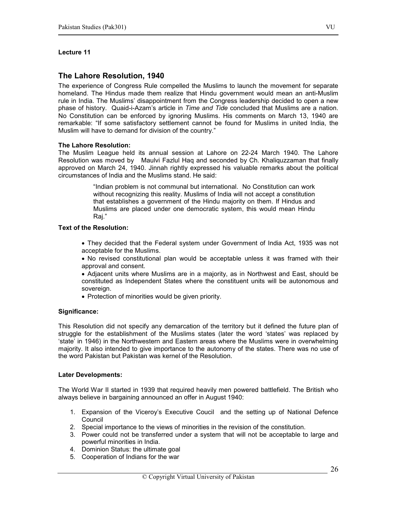## The Lahore Resolution, 1940

The experience of Congress Rule compelled the Muslims to launch the movement for separate homeland. The Hindus made them realize that Hindu government would mean an anti-Muslim rule in India. The Muslims' disappointment from the Congress leadership decided to open a new phase of history. Quaid-i-Azam's article in Time and Tide concluded that Muslims are a nation. No Constitution can be enforced by ignoring Muslims. His comments on March 13, 1940 are remarkable: "If some satisfactory settlement cannot be found for Muslims in united India, the Muslim will have to demand for division of the country."

## The Lahore Resolution:

The Muslim League held its annual session at Lahore on 22-24 March 1940. The Lahore Resolution was moved by Maulvi Fazlul Haq and seconded by Ch. Khaliquzzaman that finally approved on March 24, 1940. Jinnah rightly expressed his valuable remarks about the political circumstances of India and the Muslims stand. He said:

> "Indian problem is not communal but international. No Constitution can work without recognizing this reality. Muslims of India will not accept a constitution that establishes a government of the Hindu majority on them. If Hindus and Muslims are placed under one democratic system, this would mean Hindu Raj."

## Text of the Resolution:

- They decided that the Federal system under Government of India Act, 1935 was not acceptable for the Muslims.
- No revised constitutional plan would be acceptable unless it was framed with their approval and consent.
- Adjacent units where Muslims are in a majority, as in Northwest and East, should be constituted as Independent States where the constituent units will be autonomous and sovereign.
- Protection of minorities would be given priority.

#### Significance:

This Resolution did not specify any demarcation of the territory but it defined the future plan of struggle for the establishment of the Muslims states (later the word 'states' was replaced by 'state' in 1946) in the Northwestern and Eastern areas where the Muslims were in overwhelming majority. It also intended to give importance to the autonomy of the states. There was no use of the word Pakistan but Pakistan was kernel of the Resolution.

#### Later Developments:

The World War II started in 1939 that required heavily men powered battlefield. The British who always believe in bargaining announced an offer in August 1940:

- 1. Expansion of the Viceroy's Executive Coucil and the setting up of National Defence Council
- 2. Special importance to the views of minorities in the revision of the constitution.
- 3. Power could not be transferred under a system that will not be acceptable to large and powerful minorities in India.
- 4. Dominion Status: the ultimate goal
- 5. Cooperation of Indians for the war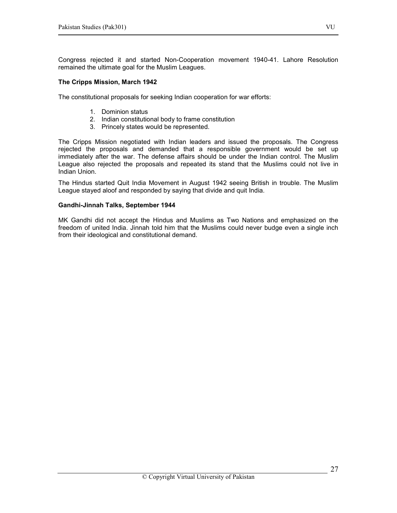Congress rejected it and started Non-Cooperation movement 1940-41. Lahore Resolution remained the ultimate goal for the Muslim Leagues.

#### The Cripps Mission, March 1942

The constitutional proposals for seeking Indian cooperation for war efforts:

- 1. Dominion status
- 2. Indian constitutional body to frame constitution
- 3. Princely states would be represented.

The Cripps Mission negotiated with Indian leaders and issued the proposals. The Congress rejected the proposals and demanded that a responsible government would be set up immediately after the war. The defense affairs should be under the Indian control. The Muslim League also rejected the proposals and repeated its stand that the Muslims could not live in Indian Union.

The Hindus started Quit India Movement in August 1942 seeing British in trouble. The Muslim League stayed aloof and responded by saying that divide and quit India.

#### Gandhi-Jinnah Talks, September 1944

MK Gandhi did not accept the Hindus and Muslims as Two Nations and emphasized on the freedom of united India. Jinnah told him that the Muslims could never budge even a single inch from their ideological and constitutional demand.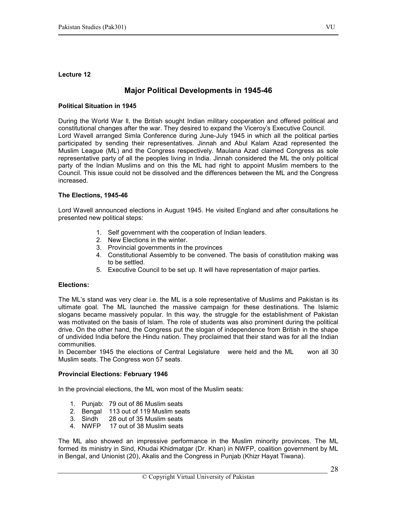## Major Political Developments in 1945-46

#### Political Situation in 1945

During the World War ll, the British sought Indian military cooperation and offered political and constitutional changes after the war. They desired to expand the Viceroy's Executive Council. Lord Wavell arranged Simla Conference during June-July 1945 in which all the political parties participated by sending their representatives. Jinnah and Abul Kalam Azad represented the Muslim League (ML) and the Congress respectively. Maulana Azad claimed Congress as sole representative party of all the peoples living in India. Jinnah considered the ML the only political party of the Indian Muslims and on this the ML had right to appoint Muslim members to the Council. This issue could not be dissolved and the differences between the ML and the Congress increased.

## The Elections, 1945-46

Lord Wavell announced elections in August 1945. He visited England and after consultations he presented new political steps:

- 1. Self government with the cooperation of Indian leaders.
- 2. New Elections in the winter.
- 3. Provincial governments in the provinces
- 4. Constitutional Assembly to be convened. The basis of constitution making was to be settled.
- 5. Executive Council to be set up. It will have representation of major parties.

## Elections:

The ML's stand was very clear i.e. the ML is a sole representative of Muslims and Pakistan is its ultimate goal. The ML launched the massive campaign for these destinations. The Islamic slogans became massively popular. In this way, the struggle for the establishment of Pakistan was motivated on the basis of Islam. The role of students was also prominent during the political drive. On the other hand, the Congress put the slogan of independence from British in the shape of undivided India before the Hindu nation. They proclaimed that their stand was for all the Indian communities.

In December 1945 the elections of Central Legislature were held and the ML won all 30 Muslim seats. The Congress won 57 seats.

#### Provincial Elections: February 1946

In the provincial elections, the ML won most of the Muslim seats:

- 1. Punjab: 79 out of 86 Muslim seats
- 2. Bengal 113 out of 119 Muslim seats
- 3. Sindh 28 out of 35 Muslim seats
- 4. NWFP 17 out of 38 Muslim seats

The ML also showed an impressive performance in the Muslim minority provinces. The ML formed its ministry in Sind, Khudai Khidmatgar (Dr. Khan) in NWFP, coalition government by ML in Bengal, and Unionist (20), Akalis and the Congress in Punjab (Khizr Hayat Tiwana).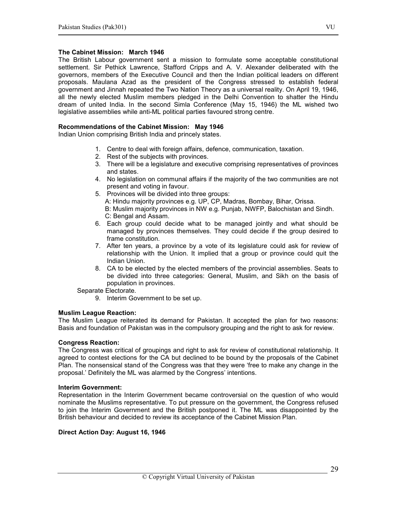#### The Cabinet Mission: March 1946

The British Labour government sent a mission to formulate some acceptable constitutional settlement. Sir Pethick Lawrence, Stafford Cripps and A. V. Alexander deliberated with the governors, members of the Executive Council and then the Indian political leaders on different proposals. Maulana Azad as the president of the Congress stressed to establish federal government and Jinnah repeated the Two Nation Theory as a universal reality. On April 19, 1946, all the newly elected Muslim members pledged in the Delhi Convention to shatter the Hindu dream of united India. In the second Simla Conference (May 15, 1946) the ML wished two legislative assemblies while anti-ML political parties favoured strong centre.

## Recommendations of the Cabinet Mission: May 1946

Indian Union comprising British India and princely states.

- 1. Centre to deal with foreign affairs, defence, communication, taxation.
- 2. Rest of the subjects with provinces.
- 3. There will be a legislature and executive comprising representatives of provinces and states.
- 4. No legislation on communal affairs if the majority of the two communities are not present and voting in favour.
- 5. Provinces will be divided into three groups: A: Hindu majority provinces e.g. UP, CP, Madras, Bombay, Bihar, Orissa. B: Muslim majority provinces in NW e.g. Punjab, NWFP, Balochistan and Sindh. C: Bengal and Assam.
- 6. Each group could decide what to be managed jointly and what should be managed by provinces themselves. They could decide if the group desired to frame constitution.
- 7. After ten years, a province by a vote of its legislature could ask for review of relationship with the Union. It implied that a group or province could quit the Indian Union.
- 8. CA to be elected by the elected members of the provincial assemblies. Seats to be divided into three categories: General, Muslim, and Sikh on the basis of population in provinces.

Separate Electorate.

9. Interim Government to be set up.

#### Muslim League Reaction:

The Muslim League reiterated its demand for Pakistan. It accepted the plan for two reasons: Basis and foundation of Pakistan was in the compulsory grouping and the right to ask for review.

#### Congress Reaction:

The Congress was critical of groupings and right to ask for review of constitutional relationship. It agreed to contest elections for the CA but declined to be bound by the proposals of the Cabinet Plan. The nonsensical stand of the Congress was that they were 'free to make any change in the proposal.' Definitely the ML was alarmed by the Congress' intentions.

#### Interim Government:

Representation in the Interim Government became controversial on the question of who would nominate the Muslims representative. To put pressure on the government, the Congress refused to join the Interim Government and the British postponed it. The ML was disappointed by the British behaviour and decided to review its acceptance of the Cabinet Mission Plan.

#### Direct Action Day: August 16, 1946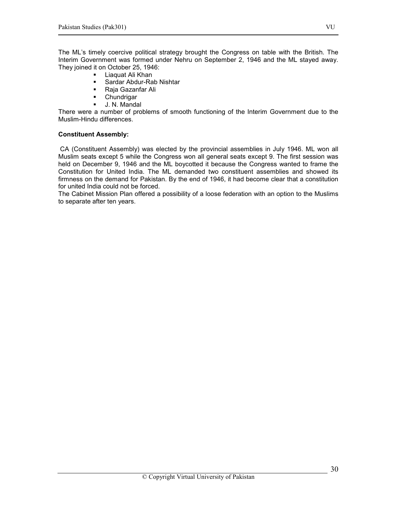The ML's timely coercive political strategy brought the Congress on table with the British. The Interim Government was formed under Nehru on September 2, 1946 and the ML stayed away. They joined it on October 25, 1946:

- **-** Liaquat Ali Khan
- Sardar Abdur-Rab Nishtar
- Raja Gazanfar Ali
- **-** Chundrigar
- J. N. Mandal

There were a number of problems of smooth functioning of the Interim Government due to the Muslim-Hindu differences.

## Constituent Assembly:

 CA (Constituent Assembly) was elected by the provincial assemblies in July 1946. ML won all Muslim seats except 5 while the Congress won all general seats except 9. The first session was held on December 9, 1946 and the ML boycotted it because the Congress wanted to frame the Constitution for United India. The ML demanded two constituent assemblies and showed its firmness on the demand for Pakistan. By the end of 1946, it had become clear that a constitution for united India could not be forced.

The Cabinet Mission Plan offered a possibility of a loose federation with an option to the Muslims to separate after ten years.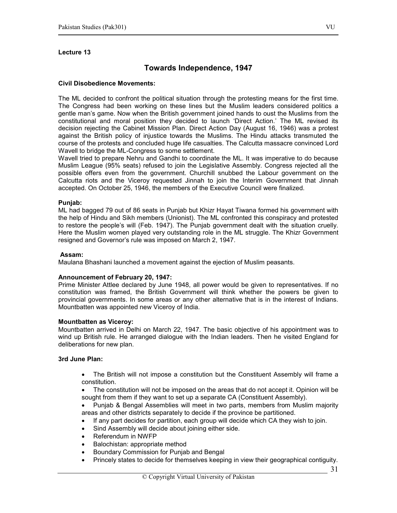## Towards Independence, 1947

#### Civil Disobedience Movements:

The ML decided to confront the political situation through the protesting means for the first time. The Congress had been working on these lines but the Muslim leaders considered politics a gentle man's game. Now when the British government joined hands to oust the Muslims from the constitutional and moral position they decided to launch 'Direct Action.' The ML revised its decision rejecting the Cabinet Mission Plan. Direct Action Day (August 16, 1946) was a protest against the British policy of injustice towards the Muslims. The Hindu attacks transmuted the course of the protests and concluded huge life casualties. The Calcutta massacre convinced Lord Wavell to bridge the ML-Congress to some settlement.

Wavell tried to prepare Nehru and Gandhi to coordinate the ML. It was imperative to do because Muslim League (95% seats) refused to join the Legislative Assembly. Congress rejected all the possible offers even from the government. Churchill snubbed the Labour government on the Calcutta riots and the Viceroy requested Jinnah to join the Interim Government that Jinnah accepted. On October 25, 1946, the members of the Executive Council were finalized.

#### Punjab:

ML had bagged 79 out of 86 seats in Punjab but Khizr Hayat Tiwana formed his government with the help of Hindu and Sikh members (Unionist). The ML confronted this conspiracy and protested to restore the people's will (Feb. 1947). The Punjab government dealt with the situation cruelly. Here the Muslim women played very outstanding role in the ML struggle. The Khizr Government resigned and Governor's rule was imposed on March 2, 1947.

#### Assam:

Maulana Bhashani launched a movement against the ejection of Muslim peasants.

#### Announcement of February 20, 1947:

Prime Minister Attlee declared by June 1948, all power would be given to representatives. If no constitution was framed, the British Government will think whether the powers be given to provincial governments. In some areas or any other alternative that is in the interest of Indians. Mountbatten was appointed new Viceroy of India.

#### Mountbatten as Viceroy:

Mountbatten arrived in Delhi on March 22, 1947. The basic objective of his appointment was to wind up British rule. He arranged dialogue with the Indian leaders. Then he visited England for deliberations for new plan.

#### 3rd June Plan:

- The British will not impose a constitution but the Constituent Assembly will frame a constitution.
- The constitution will not be imposed on the areas that do not accept it. Opinion will be sought from them if they want to set up a separate CA (Constituent Assembly).
- Punjab & Bengal Assemblies will meet in two parts, members from Muslim majority areas and other districts separately to decide if the province be partitioned.
- If any part decides for partition, each group will decide which CA they wish to join.
- Sind Assembly will decide about joining either side.
- Referendum in NWFP
- Balochistan: appropriate method
- Boundary Commission for Punjab and Bengal
- Princely states to decide for themselves keeping in view their geographical contiguity.

31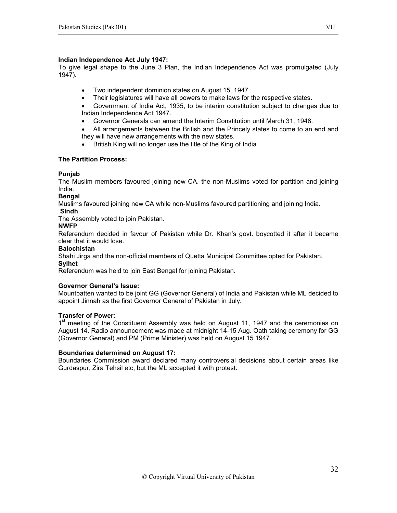## Indian Independence Act July 1947:

To give legal shape to the June 3 Plan, the Indian Independence Act was promulgated (July  $1947$ ).

- Two independent dominion states on August 15, 1947
- Their legislatures will have all powers to make laws for the respective states.
- Government of India Act, 1935, to be interim constitution subject to changes due to Indian Independence Act 1947.
- Governor Generals can amend the Interim Constitution until March 31, 1948.
- All arrangements between the British and the Princely states to come to an end and they will have new arrangements with the new states.
- British King will no longer use the title of the King of India

## The Partition Process:

## Punjab

The Muslim members favoured joining new CA. the non-Muslims voted for partition and joining India.

## Bengal

Muslims favoured joining new CA while non-Muslims favoured partitioning and joining India.

#### Sindh

The Assembly voted to join Pakistan.

#### NWFP

Referendum decided in favour of Pakistan while Dr. Khan's govt. boycotted it after it became clear that it would lose.

## **Balochistan**

Shahi Jirga and the non-official members of Quetta Municipal Committee opted for Pakistan. **Sylhet** 

Referendum was held to join East Bengal for joining Pakistan.

#### Governor General's Issue:

Mountbatten wanted to be joint GG (Governor General) of India and Pakistan while ML decided to appoint Jinnah as the first Governor General of Pakistan in July.

#### Transfer of Power:

1<sup>st</sup> meeting of the Constituent Assembly was held on August 11, 1947 and the ceremonies on August 14. Radio announcement was made at midnight 14-15 Aug. Oath taking ceremony for GG (Governor General) and PM (Prime Minister) was held on August 15 1947.

#### Boundaries determined on August 17:

Boundaries Commission award declared many controversial decisions about certain areas like Gurdaspur, Zira Tehsil etc, but the ML accepted it with protest.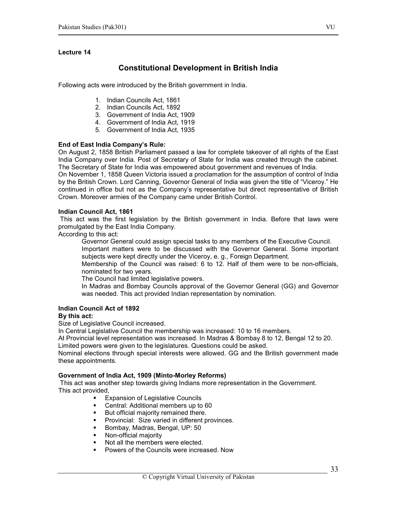## Constitutional Development in British India

Following acts were introduced by the British government in India.

- 1. Indian Councils Act, 1861
- 2. Indian Councils Act, 1892
- 3. Government of India Act, 1909
- 4. Government of India Act, 1919
- 5. Government of India Act, 1935

## End of East India Company's Rule:

On August 2, 1858 British Parliament passed a law for complete takeover of all rights of the East India Company over India. Post of Secretary of State for India was created through the cabinet. The Secretary of State for India was empowered about government and revenues of India.

On November 1, 1858 Queen Victoria issued a proclamation for the assumption of control of India by the British Crown. Lord Canning, Governor General of India was given the title of "Viceroy." He continued in office but not as the Company's representative but direct representative of British Crown. Moreover armies of the Company came under British Control.

#### Indian Council Act, 1861

 This act was the first legislation by the British government in India. Before that laws were promulgated by the East India Company.

According to this act:

Governor General could assign special tasks to any members of the Executive Council.

Important matters were to be discussed with the Governor General. Some important subjects were kept directly under the Viceroy, e. g., Foreign Department.

Membership of the Council was raised: 6 to 12. Half of them were to be non-officials, nominated for two years.

The Council had limited legislative powers.

In Madras and Bombay Councils approval of the Governor General (GG) and Governor was needed. This act provided Indian representation by nomination.

#### Indian Council Act of 1892

#### By this act:

Size of Legislative Council increased.

In Central Legislative Council the membership was increased: 10 to 16 members.

At Provincial level representation was increased. In Madras & Bombay 8 to 12, Bengal 12 to 20. Limited powers were given to the legislatures. Questions could be asked.

Nominal elections through special interests were allowed. GG and the British government made these appointments.

#### Government of India Act, 1909 (Minto-Morley Reforms)

 This act was another step towards giving Indians more representation in the Government. This act provided,

- Expansion of Legislative Councils
- **Central: Additional members up to 60**
- But official majority remained there.
- **Provincial: Size varied in different provinces.**
- Bombay, Madras, Bengal, UP: 50
- **Non-official majority**
- Not all the members were elected.
- Powers of the Councils were increased. Now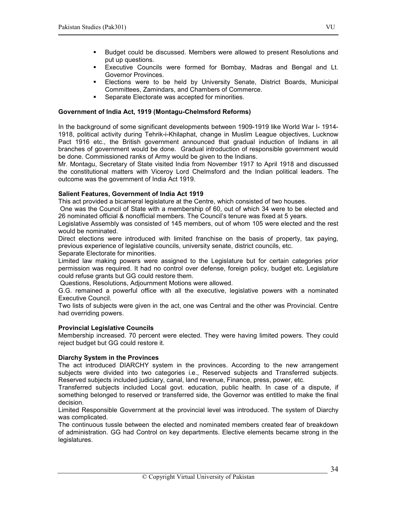- Budget could be discussed. Members were allowed to present Resolutions and put up questions.
- Executive Councils were formed for Bombay, Madras and Bengal and Lt. Governor Provinces.
- Elections were to be held by University Senate, District Boards, Municipal Committees, Zamindars, and Chambers of Commerce.
- **Separate Electorate was accepted for minorities.**

## Government of India Act, 1919 (Montagu-Chelmsford Reforms)

In the background of some significant developments between 1909-1919 like World War I- 1914- 1918, political activity during Tehrik-i-Khilaphat, change in Muslim League objectives, Lucknow Pact 1916 etc., the British government announced that gradual induction of Indians in all branches of government would be done. Gradual introduction of responsible government would be done. Commissioned ranks of Army would be given to the Indians.

Mr. Montagu, Secretary of State visited India from November 1917 to April 1918 and discussed the constitutional matters with Viceroy Lord Chelmsford and the Indian political leaders. The outcome was the government of India Act 1919.

## Salient Features, Government of India Act 1919

This act provided a bicameral legislature at the Centre, which consisted of two houses.

 One was the Council of State with a membership of 60, out of which 34 were to be elected and 26 nominated official & nonofficial members. The Council's tenure was fixed at 5 years.

Legislative Assembly was consisted of 145 members, out of whom 105 were elected and the rest would be nominated.

Direct elections were introduced with limited franchise on the basis of property, tax paying, previous experience of legislative councils, university senate, district councils, etc.

Separate Electorate for minorities.

Limited law making powers were assigned to the Legislature but for certain categories prior permission was required. It had no control over defense, foreign policy, budget etc. Legislature could refuse grants but GG could restore them.

Questions, Resolutions, Adjournment Motions were allowed.

G.G. remained a powerful office with all the executive, legislative powers with a nominated Executive Council.

Two lists of subjects were given in the act, one was Central and the other was Provincial. Centre had overriding powers.

## Provincial Legislative Councils

Membership increased. 70 percent were elected. They were having limited powers. They could reject budget but GG could restore it.

## Diarchy System in the Provinces

The act introduced DIARCHY system in the provinces. According to the new arrangement subjects were divided into two categories i.e., Reserved subjects and Transferred subjects. Reserved subjects included judiciary, canal, land revenue, Finance, press, power, etc.

Transferred subjects included Local govt. education, public health. In case of a dispute, if something belonged to reserved or transferred side, the Governor was entitled to make the final decision.

Limited Responsible Government at the provincial level was introduced. The system of Diarchy was complicated.

The continuous tussle between the elected and nominated members created fear of breakdown of administration. GG had Control on key departments. Elective elements became strong in the legislatures.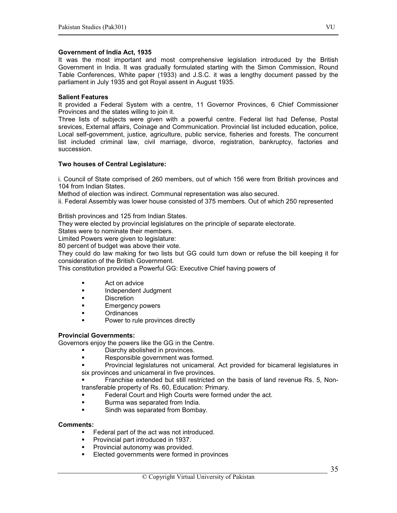#### Government of India Act, 1935

It was the most important and most comprehensive legislation introduced by the British Government in India. It was gradually formulated starting with the Simon Commission, Round Table Conferences, White paper (1933) and J.S.C. it was a lengthy document passed by the parliament in July 1935 and got Royal assent in August 1935.

#### Salient Features

It provided a Federal System with a centre, 11 Governor Provinces, 6 Chief Commissioner Provinces and the states willing to join it.

Three lists of subjects were given with a powerful centre. Federal list had Defense, Postal srevices, External affairs, Coinage and Communication. Provincial list included education, police, Local self-government, justice, agriculture, public service, fisheries and forests. The concurrent list included criminal law, civil marriage, divorce, registration, bankruptcy, factories and succession.

## Two houses of Central Legislature:

i. Council of State comprised of 260 members, out of which 156 were from British provinces and 104 from Indian States.

Method of election was indirect. Communal representation was also secured.

ii. Federal Assembly was lower house consisted of 375 members. Out of which 250 represented

British provinces and 125 from Indian States.

They were elected by provincial legislatures on the principle of separate electorate.

States were to nominate their members.

Limited Powers were given to legislature:

80 percent of budget was above their vote.

They could do law making for two lists but GG could turn down or refuse the bill keeping it for consideration of the British Government.

This constitution provided a Powerful GG: Executive Chief having powers of

- **Act on advice**
- **Independent Judgment**
- **Discretion**
- **Emergency powers**
- Ordinances
- Power to rule provinces directly

## Provincial Governments:

Governors enjoy the powers like the GG in the Centre.

- Diarchy abolished in provinces.
- **Responsible government was formed.**
- Provincial legislatures not unicameral. Act provided for bicameral legislatures in six provinces and unicameral in five provinces.

 Franchise extended but still restricted on the basis of land revenue Rs. 5, Nontransferable property of Rs. 60, Education: Primary.

- **Federal Court and High Courts were formed under the act.**
- Burma was separated from India.
- Sindh was separated from Bombay.

#### Comments:

- Federal part of the act was not introduced.
- **Provincial part introduced in 1937.**
- **Provincial autonomy was provided.**<br>**Elected governments were formed in**
- Elected governments were formed in provinces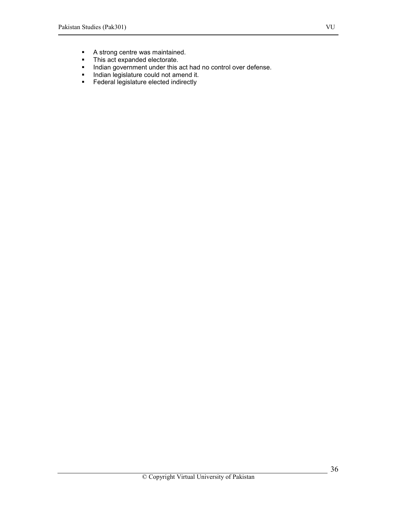- A strong centre was maintained.
- **This act expanded electorate.**
- **Indian government under this act had no control over defense.**
- Indian legislature could not amend it.<br>Federal legislature elected indirectly
- Federal legislature elected indirectly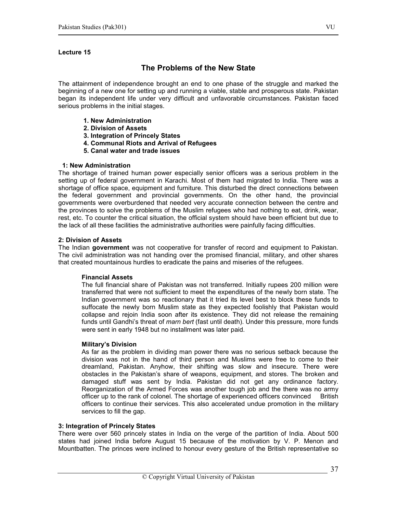# The Problems of the New State

The attainment of independence brought an end to one phase of the struggle and marked the beginning of a new one for setting up and running a viable, stable and prosperous state. Pakistan began its independent life under very difficult and unfavorable circumstances. Pakistan faced serious problems in the initial stages.

- 1. New Administration
- 2. Division of Assets
- 3. Integration of Princely States
- 4. Communal Riots and Arrival of Refugees
- 5. Canal water and trade issues

#### 1: New Administration

The shortage of trained human power especially senior officers was a serious problem in the setting up of federal government in Karachi. Most of them had migrated to India. There was a shortage of office space, equipment and furniture. This disturbed the direct connections between the federal government and provincial governments. On the other hand, the provincial governments were overburdened that needed very accurate connection between the centre and the provinces to solve the problems of the Muslim refugees who had nothing to eat, drink, wear, rest, etc. To counter the critical situation, the official system should have been efficient but due to the lack of all these facilities the administrative authorities were painfully facing difficulties.

#### 2: Division of Assets

The Indian government was not cooperative for transfer of record and equipment to Pakistan. The civil administration was not handing over the promised financial, military, and other shares that created mountainous hurdles to eradicate the pains and miseries of the refugees.

#### Financial Assets

The full financial share of Pakistan was not transferred. Initially rupees 200 million were transferred that were not sufficient to meet the expenditures of the newly born state. The Indian government was so reactionary that it tried its level best to block these funds to suffocate the newly born Muslim state as they expected foolishly that Pakistan would collapse and rejoin India soon after its existence. They did not release the remaining funds until Gandhi's threat of marn bert (fast until death). Under this pressure, more funds were sent in early 1948 but no installment was later paid.

#### Military's Division

As far as the problem in dividing man power there was no serious setback because the division was not in the hand of third person and Muslims were free to come to their dreamland, Pakistan. Anyhow, their shifting was slow and insecure. There were obstacles in the Pakistan's share of weapons, equipment, and stores. The broken and damaged stuff was sent by India. Pakistan did not get any ordinance factory. Reorganization of the Armed Forces was another tough job and the there was no army officer up to the rank of colonel. The shortage of experienced officers convinced British officers to continue their services. This also accelerated undue promotion in the military services to fill the gap.

#### 3: Integration of Princely States

There were over 560 princely states in India on the verge of the partition of India. About 500 states had joined India before August 15 because of the motivation by V. P. Menon and Mountbatten. The princes were inclined to honour every gesture of the British representative so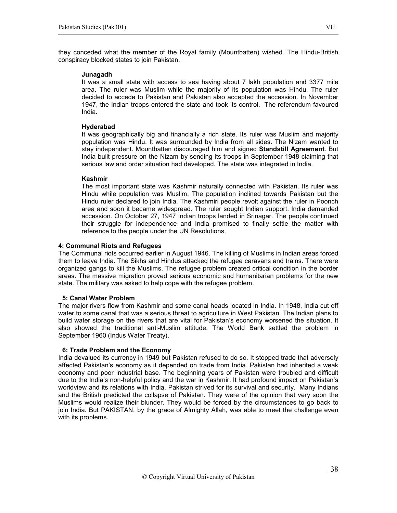they conceded what the member of the Royal family (Mountbatten) wished. The Hindu-British conspiracy blocked states to join Pakistan.

#### Junagadh

It was a small state with access to sea having about 7 lakh population and 3377 mile area. The ruler was Muslim while the majority of its population was Hindu. The ruler decided to accede to Pakistan and Pakistan also accepted the accession. In November 1947, the Indian troops entered the state and took its control. The referendum favoured India.

#### Hyderabad

It was geographically big and financially a rich state. Its ruler was Muslim and majority population was Hindu. It was surrounded by India from all sides. The Nizam wanted to stay independent. Mountbatten discouraged him and signed Standstill Agreement. But India built pressure on the Nizam by sending its troops in September 1948 claiming that serious law and order situation had developed. The state was integrated in India.

#### Kashmir

The most important state was Kashmir naturally connected with Pakistan. Its ruler was Hindu while population was Muslim. The population inclined towards Pakistan but the Hindu ruler declared to join India. The Kashmiri people revolt against the ruler in Poonch area and soon it became widespread. The ruler sought Indian support. India demanded accession. On October 27, 1947 Indian troops landed in Srinagar. The people continued their struggle for independence and India promised to finally settle the matter with reference to the people under the UN Resolutions.

#### 4: Communal Riots and Refugees

The Communal riots occurred earlier in August 1946. The killing of Muslims in Indian areas forced them to leave India. The Sikhs and Hindus attacked the refugee caravans and trains. There were organized gangs to kill the Muslims. The refugee problem created critical condition in the border areas. The massive migration proved serious economic and humanitarian problems for the new state. The military was asked to help cope with the refugee problem.

#### 5: Canal Water Problem

The major rivers flow from Kashmir and some canal heads located in India. In 1948, India cut off water to some canal that was a serious threat to agriculture in West Pakistan. The Indian plans to build water storage on the rivers that are vital for Pakistan's economy worsened the situation. It also showed the traditional anti-Muslim attitude. The World Bank settled the problem in September 1960 (Indus Water Treaty).

#### 6: Trade Problem and the Economy

India devalued its currency in 1949 but Pakistan refused to do so. It stopped trade that adversely affected Pakistan's economy as it depended on trade from India. Pakistan had inherited a weak economy and poor industrial base. The beginning years of Pakistan were troubled and difficult due to the India's non-helpful policy and the war in Kashmir. It had profound impact on Pakistan's worldview and its relations with India. Pakistan strived for its survival and security. Many Indians and the British predicted the collapse of Pakistan. They were of the opinion that very soon the Muslims would realize their blunder. They would be forced by the circumstances to go back to join India. But PAKISTAN, by the grace of Almighty Allah, was able to meet the challenge even with its problems.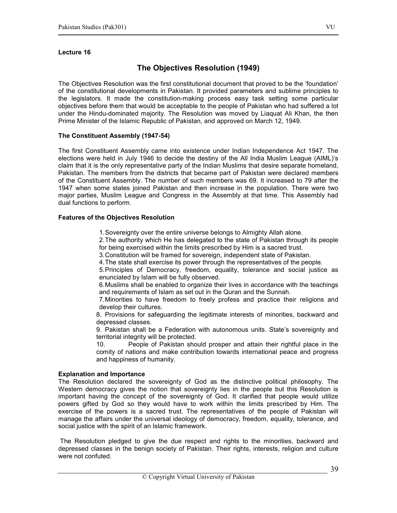# The Objectives Resolution (1949)

The Objectives Resolution was the first constitutional document that proved to be the 'foundation' of the constitutional developments in Pakistan. It provided parameters and sublime principles to the legislators. It made the constitution-making process easy task setting some particular objectives before them that would be acceptable to the people of Pakistan who had suffered a lot under the Hindu-dominated majority. The Resolution was moved by Liaquat Ali Khan, the then Prime Minister of the Islamic Republic of Pakistan, and approved on March 12, 1949.

#### The Constituent Assembly (1947-54)

The first Constituent Assembly came into existence under Indian Independence Act 1947. The elections were held in July 1946 to decide the destiny of the All India Muslim League (AIML)'s claim that it is the only representative party of the Indian Muslims that desire separate homeland, Pakistan. The members from the districts that became part of Pakistan were declared members of the Constituent Assembly. The number of such members was 69. It increased to 79 after the 1947 when some states joined Pakistan and then increase in the population. There were two major parties, Muslim League and Congress in the Assembly at that time. This Assembly had dual functions to perform.

#### Features of the Objectives Resolution

1. Sovereignty over the entire universe belongs to Almighty Allah alone.

2. The authority which He has delegated to the state of Pakistan through its people for being exercised within the limits prescribed by Him is a sacred trust.

3. Constitution will be framed for sovereign, independent state of Pakistan.

4. The state shall exercise its power through the representatives of the people.

5. Principles of Democracy, freedom, equality, tolerance and social justice as enunciated by Islam will be fully observed.

6. Muslims shall be enabled to organize their lives in accordance with the teachings and requirements of Islam as set out in the Quran and the Sunnah.

7. Minorities to have freedom to freely profess and practice their religions and develop their cultures.

8. Provisions for safeguarding the legitimate interests of minorities, backward and depressed classes.

9. Pakistan shall be a Federation with autonomous units. State's sovereignty and territorial integrity will be protected.

10. People of Pakistan should prosper and attain their rightful place in the comity of nations and make contribution towards international peace and progress and happiness of humanity.

#### Explanation and Importance

The Resolution declared the sovereignty of God as the distinctive political philosophy. The Western democracy gives the notion that sovereignty lies in the people but this Resolution is important having the concept of the sovereignty of God. It clarified that people would utilize powers gifted by God so they would have to work within the limits prescribed by Him. The exercise of the powers is a sacred trust. The representatives of the people of Pakistan will manage the affairs under the universal ideology of democracy, freedom, equality, tolerance, and social justice with the spirit of an Islamic framework.

 The Resolution pledged to give the due respect and rights to the minorities, backward and depressed classes in the benign society of Pakistan. Their rights, interests, religion and culture were not confuted.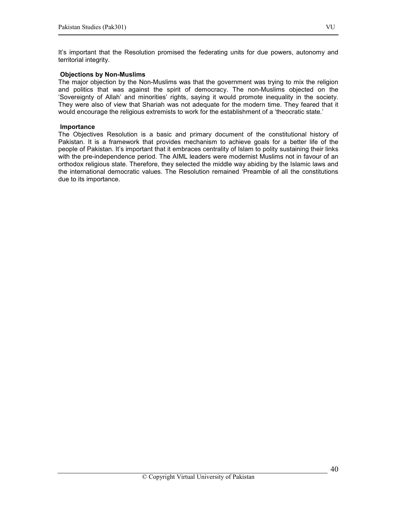## Objections by Non-Muslims

The major objection by the Non-Muslims was that the government was trying to mix the religion and politics that was against the spirit of democracy. The non-Muslims objected on the 'Sovereignty of Allah' and minorities' rights, saying it would promote inequality in the society. They were also of view that Shariah was not adequate for the modern time. They feared that it would encourage the religious extremists to work for the establishment of a 'theocratic state.'

#### Importance

The Objectives Resolution is a basic and primary document of the constitutional history of Pakistan. It is a framework that provides mechanism to achieve goals for a better life of the people of Pakistan. It's important that it embraces centrality of Islam to polity sustaining their links with the pre-independence period. The AIML leaders were modernist Muslims not in favour of an orthodox religious state. Therefore, they selected the middle way abiding by the Islamic laws and the international democratic values. The Resolution remained 'Preamble of all the constitutions due to its importance.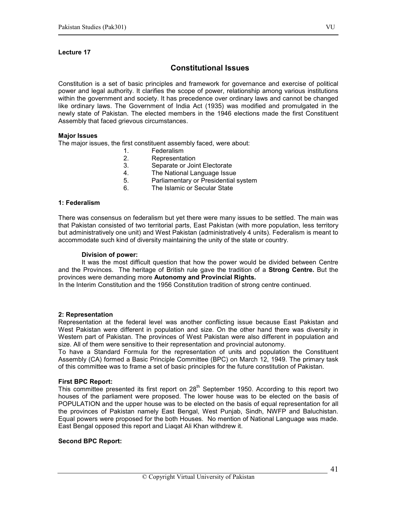# Constitutional Issues

Constitution is a set of basic principles and framework for governance and exercise of political power and legal authority. It clarifies the scope of power, relationship among various institutions within the government and society. It has precedence over ordinary laws and cannot be changed like ordinary laws. The Government of India Act (1935) was modified and promulgated in the newly state of Pakistan. The elected members in the 1946 elections made the first Constituent Assembly that faced grievous circumstances.

#### Major Issues

The major issues, the first constituent assembly faced, were about:

- 1. Federalism
- 2. Representation<br>3. Separate or Joir
- Separate or Joint Electorate
- 4. The National Language Issue
- 5. Parliamentary or Presidential system
- 6. The Islamic or Secular State

## 1: Federalism

There was consensus on federalism but yet there were many issues to be settled. The main was that Pakistan consisted of two territorial parts, East Pakistan (with more population, less territory but administratively one unit) and West Pakistan (administratively 4 units). Federalism is meant to accommodate such kind of diversity maintaining the unity of the state or country.

#### Division of power:

It was the most difficult question that how the power would be divided between Centre and the Provinces. The heritage of British rule gave the tradition of a **Strong Centre.** But the provinces were demanding more Autonomy and Provincial Rights.

In the Interim Constitution and the 1956 Constitution tradition of strong centre continued.

#### 2: Representation

Representation at the federal level was another conflicting issue because East Pakistan and West Pakistan were different in population and size. On the other hand there was diversity in Western part of Pakistan. The provinces of West Pakistan were also different in population and size. All of them were sensitive to their representation and provincial autonomy.

To have a Standard Formula for the representation of units and population the Constituent Assembly (CA) formed a Basic Principle Committee (BPC) on March 12, 1949. The primary task of this committee was to frame a set of basic principles for the future constitution of Pakistan.

#### First BPC Report:

This committee presented its first report on  $28<sup>th</sup>$  September 1950. According to this report two houses of the parliament were proposed. The lower house was to be elected on the basis of POPULATION and the upper house was to be elected on the basis of equal representation for all the provinces of Pakistan namely East Bengal, West Punjab, Sindh, NWFP and Baluchistan. Equal powers were proposed for the both Houses. No mention of National Language was made. East Bengal opposed this report and Liaqat Ali Khan withdrew it.

#### Second BPC Report: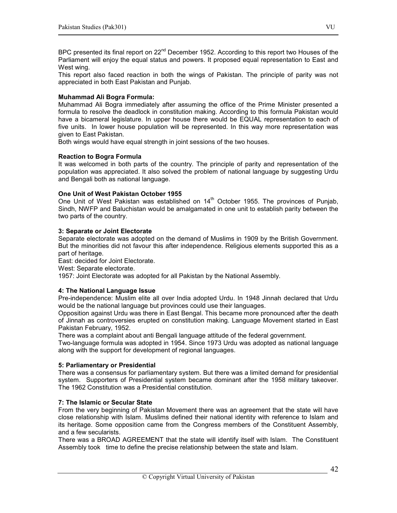BPC presented its final report on  $22^{nd}$  December 1952. According to this report two Houses of the Parliament will enjoy the equal status and powers. It proposed equal representation to East and West wing.

This report also faced reaction in both the wings of Pakistan. The principle of parity was not appreciated in both East Pakistan and Punjab.

#### Muhammad Ali Bogra Formula:

Muhammad Ali Bogra immediately after assuming the office of the Prime Minister presented a formula to resolve the deadlock in constitution making. According to this formula Pakistan would have a bicameral legislature. In upper house there would be EQUAL representation to each of five units. In lower house population will be represented. In this way more representation was given to East Pakistan.

Both wings would have equal strength in joint sessions of the two houses.

#### Reaction to Bogra Formula

It was welcomed in both parts of the country. The principle of parity and representation of the population was appreciated. It also solved the problem of national language by suggesting Urdu and Bengali both as national language.

#### One Unit of West Pakistan October 1955

One Unit of West Pakistan was established on 14<sup>th</sup> October 1955. The provinces of Punjab, Sindh, NWFP and Baluchistan would be amalgamated in one unit to establish parity between the two parts of the country.

#### 3: Separate or Joint Electorate

Separate electorate was adopted on the demand of Muslims in 1909 by the British Government. But the minorities did not favour this after independence. Religious elements supported this as a part of heritage.

East: decided for Joint Electorate.

West: Separate electorate.

1957: Joint Electorate was adopted for all Pakistan by the National Assembly.

# 4: The National Language Issue

Pre-independence: Muslim elite all over India adopted Urdu. In 1948 Jinnah declared that Urdu would be the national language but provinces could use their languages.

Opposition against Urdu was there in East Bengal. This became more pronounced after the death of Jinnah as controversies erupted on constitution making. Language Movement started in East Pakistan February, 1952.

There was a complaint about anti Bengali language attitude of the federal government.

Two-language formula was adopted in 1954. Since 1973 Urdu was adopted as national language along with the support for development of regional languages.

#### 5: Parliamentary or Presidential

There was a consensus for parliamentary system. But there was a limited demand for presidential system. Supporters of Presidential system became dominant after the 1958 military takeover. The 1962 Constitution was a Presidential constitution.

# 7: The Islamic or Secular State

From the very beginning of Pakistan Movement there was an agreement that the state will have close relationship with Islam. Muslims defined their national identity with reference to Islam and its heritage. Some opposition came from the Congress members of the Constituent Assembly, and a few secularists.

There was a BROAD AGREEMENT that the state will identify itself with Islam. The Constituent Assembly took time to define the precise relationship between the state and Islam.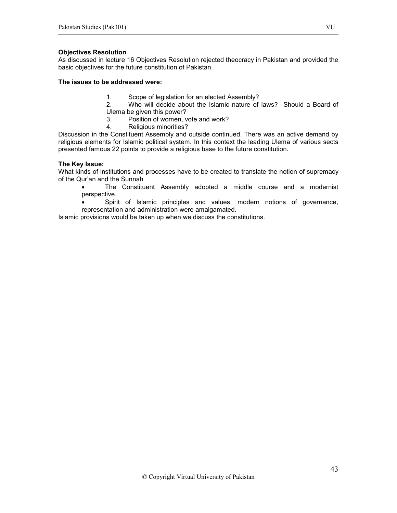## Objectives Resolution

As discussed in lecture 16 Objectives Resolution rejected theocracy in Pakistan and provided the basic objectives for the future constitution of Pakistan.

#### The issues to be addressed were:

- 1. Scope of legislation for an elected Assembly?
- 2. Who will decide about the Islamic nature of laws? Should a Board of Ulema be given this power?
- 3. Position of women, vote and work?
- 4. Religious minorities?

Discussion in the Constituent Assembly and outside continued. There was an active demand by religious elements for Islamic political system. In this context the leading Ulema of various sects presented famous 22 points to provide a religious base to the future constitution.

#### The Key Issue:

What kinds of institutions and processes have to be created to translate the notion of supremacy of the Qur'an and the Sunnah

• The Constituent Assembly adopted a middle course and a modernist perspective.

• Spirit of Islamic principles and values, modern notions of governance, representation and administration were amalgamated.

Islamic provisions would be taken up when we discuss the constitutions.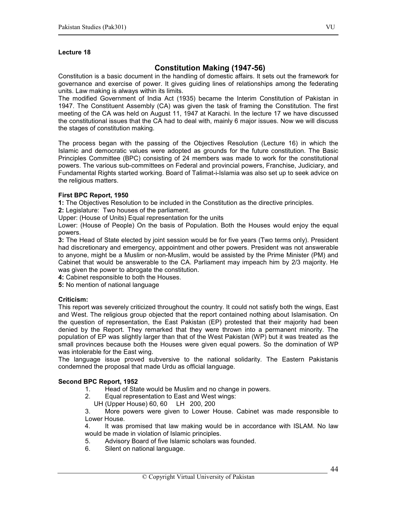# Constitution Making (1947-56)

Constitution is a basic document in the handling of domestic affairs. It sets out the framework for governance and exercise of power. It gives guiding lines of relationships among the federating units. Law making is always within its limits.

The modified Government of India Act (1935) became the Interim Constitution of Pakistan in 1947. The Constituent Assembly (CA) was given the task of framing the Constitution. The first meeting of the CA was held on August 11, 1947 at Karachi. In the lecture 17 we have discussed the constitutional issues that the CA had to deal with, mainly 6 major issues. Now we will discuss the stages of constitution making.

The process began with the passing of the Objectives Resolution (Lecture 16) in which the Islamic and democratic values were adopted as grounds for the future constitution. The Basic Principles Committee (BPC) consisting of 24 members was made to work for the constitutional powers. The various sub-committees on Federal and provincial powers, Franchise, Judiciary, and Fundamental Rights started working. Board of Talimat-i-Islamia was also set up to seek advice on the religious matters.

#### First BPC Report, 1950

1: The Objectives Resolution to be included in the Constitution as the directive principles.

2: Legislature: Two houses of the parliament.

Upper: (House of Units) Equal representation for the units

Lower: (House of People) On the basis of Population. Both the Houses would enjoy the equal powers.

3: The Head of State elected by joint session would be for five years (Two terms only). President had discretionary and emergency, appointment and other powers. President was not answerable to anyone, might be a Muslim or non-Muslim, would be assisted by the Prime Minister (PM) and Cabinet that would be answerable to the CA. Parliament may impeach him by 2/3 majority. He was given the power to abrogate the constitution.

4: Cabinet responsible to both the Houses.

5: No mention of national language

# Criticism:

This report was severely criticized throughout the country. It could not satisfy both the wings, East and West. The religious group objected that the report contained nothing about Islamisation. On the question of representation, the East Pakistan (EP) protested that their majority had been denied by the Report. They remarked that they were thrown into a permanent minority. The population of EP was slightly larger than that of the West Pakistan (WP) but it was treated as the small provinces because both the Houses were given equal powers. So the domination of WP was intolerable for the East wing.

The language issue proved subversive to the national solidarity. The Eastern Pakistanis condemned the proposal that made Urdu as official language.

# Second BPC Report, 1952

- 1. Head of State would be Muslim and no change in powers.
- 2. Equal representation to East and West wings:
	- UH (Upper House) 60, 60 LH 200, 200

3. More powers were given to Lower House. Cabinet was made responsible to Lower House.

4. It was promised that law making would be in accordance with ISLAM. No law would be made in violation of Islamic principles.

- 5. Advisory Board of five Islamic scholars was founded.
- 6. Silent on national language.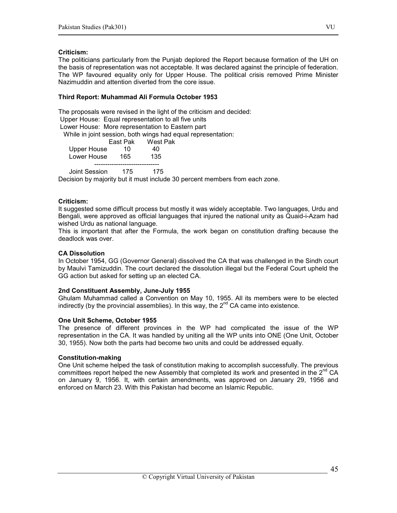#### Criticism:

The politicians particularly from the Punjab deplored the Report because formation of the UH on the basis of representation was not acceptable. It was declared against the principle of federation. The WP favoured equality only for Upper House. The political crisis removed Prime Minister Nazimuddin and attention diverted from the core issue.

#### Third Report: Muhammad Ali Formula October 1953

The proposals were revised in the light of the criticism and decided:

Upper House: Equal representation to all five units

Lower House: More representation to Eastern part

While in joint session, both wings had equal representation:

|             | East Pak | West Pak |
|-------------|----------|----------|
| Upper House | 10       | 40       |
| Lower House | 165      | 135      |
|             |          |          |

Joint Session 175 175

Decision by majority but it must include 30 percent members from each zone.

#### Criticism:

It suggested some difficult process but mostly it was widely acceptable. Two languages, Urdu and Bengali, were approved as official languages that injured the national unity as Quaid-i-Azam had wished Urdu as national language.

This is important that after the Formula, the work began on constitution drafting because the deadlock was over.

## CA Dissolution

In October 1954, GG (Governor General) dissolved the CA that was challenged in the Sindh court by Maulvi Tamizuddin. The court declared the dissolution illegal but the Federal Court upheld the GG action but asked for setting up an elected CA.

#### 2nd Constituent Assembly, June-July 1955

Ghulam Muhammad called a Convention on May 10, 1955. All its members were to be elected indirectly (by the provincial assemblies). In this way, the  $2^{nd}$  CA came into existence.

#### One Unit Scheme, October 1955

The presence of different provinces in the WP had complicated the issue of the WP representation in the CA. It was handled by uniting all the WP units into ONE (One Unit, October 30, 1955). Now both the parts had become two units and could be addressed equally.

#### Constitution-making

One Unit scheme helped the task of constitution making to accomplish successfully. The previous committees report helped the new Assembly that completed its work and presented in the  $2^{nd}$  CA on January 9, 1956. It, with certain amendments, was approved on January 29, 1956 and enforced on March 23. With this Pakistan had become an Islamic Republic.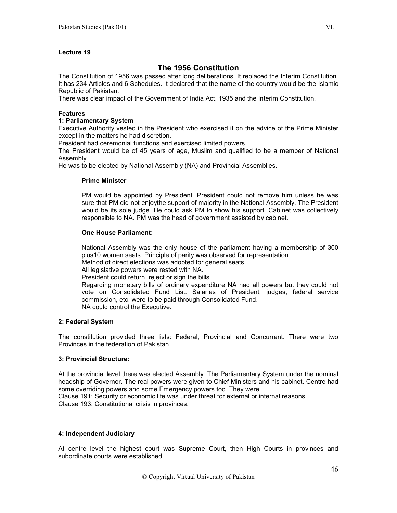# The 1956 Constitution

The Constitution of 1956 was passed after long deliberations. It replaced the Interim Constitution. It has 234 Articles and 6 Schedules. It declared that the name of the country would be the Islamic Republic of Pakistan.

There was clear impact of the Government of India Act, 1935 and the Interim Constitution.

#### Features

#### 1: Parliamentary System

Executive Authority vested in the President who exercised it on the advice of the Prime Minister except in the matters he had discretion.

President had ceremonial functions and exercised limited powers.

The President would be of 45 years of age, Muslim and qualified to be a member of National Assembly.

He was to be elected by National Assembly (NA) and Provincial Assemblies.

#### Prime Minister

PM would be appointed by President. President could not remove him unless he was sure that PM did not enjoythe support of majority in the National Assembly. The President would be its sole judge. He could ask PM to show his support. Cabinet was collectively responsible to NA. PM was the head of government assisted by cabinet.

#### One House Parliament:

National Assembly was the only house of the parliament having a membership of 300 plus10 women seats. Principle of parity was observed for representation.

Method of direct elections was adopted for general seats.

All legislative powers were rested with NA.

President could return, reject or sign the bills.

Regarding monetary bills of ordinary expenditure NA had all powers but they could not vote on Consolidated Fund List. Salaries of President, judges, federal service commission, etc. were to be paid through Consolidated Fund. NA could control the Executive.

#### 2: Federal System

The constitution provided three lists: Federal, Provincial and Concurrent. There were two Provinces in the federation of Pakistan.

#### 3: Provincial Structure:

At the provincial level there was elected Assembly. The Parliamentary System under the nominal headship of Governor. The real powers were given to Chief Ministers and his cabinet. Centre had some overriding powers and some Emergency powers too. They were Clause 191: Security or economic life was under threat for external or internal reasons. Clause 193: Constitutional crisis in provinces.

#### 4: Independent Judiciary

At centre level the highest court was Supreme Court, then High Courts in provinces and subordinate courts were established.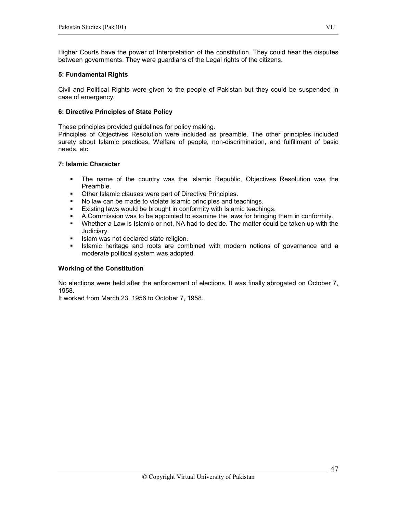Higher Courts have the power of Interpretation of the constitution. They could hear the disputes between governments. They were guardians of the Legal rights of the citizens.

#### 5: Fundamental Rights

Civil and Political Rights were given to the people of Pakistan but they could be suspended in case of emergency.

#### 6: Directive Principles of State Policy

These principles provided guidelines for policy making.

Principles of Objectives Resolution were included as preamble. The other principles included surety about Islamic practices, Welfare of people, non-discrimination, and fulfillment of basic needs, etc.

#### 7: Islamic Character

- The name of the country was the Islamic Republic, Objectives Resolution was the Preamble.
- **Other Islamic clauses were part of Directive Principles.**<br>• No law can be made to violate Islamic principles and te
- No law can be made to violate Islamic principles and teachings.
- 
- **Existing laws would be brought in conformity with Islamic teachings.**<br>**A Commission was to be appointed to examine the laws for bringing** A Commission was to be appointed to examine the laws for bringing them in conformity.
- Whether a Law is Islamic or not, NA had to decide. The matter could be taken up with the Judiciary.
- Islam was not declared state religion.
- Islamic heritage and roots are combined with modern notions of governance and a moderate political system was adopted.

#### Working of the Constitution

No elections were held after the enforcement of elections. It was finally abrogated on October 7, 1958.

It worked from March 23, 1956 to October 7, 1958.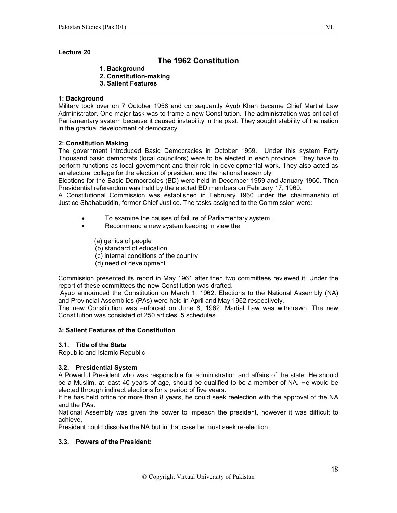# The 1962 Constitution

- 1. Background
- 2. Constitution-making
- 3. Salient Features

## 1: Background

Military took over on 7 October 1958 and consequently Ayub Khan became Chief Martial Law Administrator. One major task was to frame a new Constitution. The administration was critical of Parliamentary system because it caused instability in the past. They sought stability of the nation in the gradual development of democracy.

#### 2: Constitution Making

The government introduced Basic Democracies in October 1959. Under this system Forty Thousand basic democrats (local councilors) were to be elected in each province. They have to perform functions as local government and their role in developmental work. They also acted as an electoral college for the election of president and the national assembly.

Elections for the Basic Democracies (BD) were held in December 1959 and January 1960. Then Presidential referendum was held by the elected BD members on February 17, 1960.

A Constitutional Commission was established in February 1960 under the chairmanship of Justice Shahabuddin, former Chief Justice. The tasks assigned to the Commission were:

- To examine the causes of failure of Parliamentary system.
- Recommend a new system keeping in view the
	- (a) genius of people
	- (b) standard of education
	- (c) internal conditions of the country
	- (d) need of development

Commission presented its report in May 1961 after then two committees reviewed it. Under the report of these committees the new Constitution was drafted.

 Ayub announced the Constitution on March 1, 1962. Elections to the National Assembly (NA) and Provincial Assemblies (PAs) were held in April and May 1962 respectively.

The new Constitution was enforced on June 8, 1962. Martial Law was withdrawn. The new Constitution was consisted of 250 articles, 5 schedules.

#### 3: Salient Features of the Constitution

#### 3.1. Title of the State

Republic and Islamic Republic

# 3.2. Presidential System

A Powerful President who was responsible for administration and affairs of the state. He should be a Muslim, at least 40 years of age, should be qualified to be a member of NA. He would be elected through indirect elections for a period of five years.

If he has held office for more than 8 years, he could seek reelection with the approval of the NA and the PAs.

National Assembly was given the power to impeach the president, however it was difficult to achieve.

President could dissolve the NA but in that case he must seek re-election.

# 3.3. Powers of the President:

48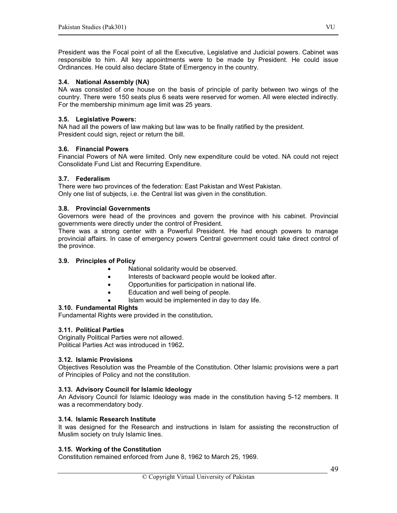President was the Focal point of all the Executive, Legislative and Judicial powers. Cabinet was responsible to him. All key appointments were to be made by President. He could issue Ordinances. He could also declare State of Emergency in the country.

#### 3.4. National Assembly (NA)

NA was consisted of one house on the basis of principle of parity between two wings of the country. There were 150 seats plus 6 seats were reserved for women. All were elected indirectly. For the membership minimum age limit was 25 years.

#### 3.5. Legislative Powers:

NA had all the powers of law making but law was to be finally ratified by the president. President could sign, reject or return the bill.

#### 3.6. Financial Powers

Financial Powers of NA were limited. Only new expenditure could be voted. NA could not reject Consolidate Fund List and Recurring Expenditure.

#### 3.7. Federalism

There were two provinces of the federation: East Pakistan and West Pakistan. Only one list of subjects, i.e. the Central list was given in the constitution.

#### 3.8. Provincial Governments

Governors were head of the provinces and govern the province with his cabinet. Provincial governments were directly under the control of President.

There was a strong center with a Powerful President. He had enough powers to manage provincial affairs. In case of emergency powers Central government could take direct control of the province.

#### 3.9. Principles of Policy

- National solidarity would be observed.
- Interests of backward people would be looked after.
- Opportunities for participation in national life.
- Education and well being of people.
	- Islam would be implemented in day to day life.

#### 3.10. Fundamental Rights

Fundamental Rights were provided in the constitution.

#### 3.11. Political Parties

Originally Political Parties were not allowed. Political Parties Act was introduced in 1962.

## 3.12. Islamic Provisions

Objectives Resolution was the Preamble of the Constitution. Other Islamic provisions were a part of Principles of Policy and not the constitution.

#### 3.13. Advisory Council for Islamic Ideology

An Advisory Council for Islamic Ideology was made in the constitution having 5-12 members. It was a recommendatory body.

#### 3.14. Islamic Research Institute

It was designed for the Research and instructions in Islam for assisting the reconstruction of Muslim society on truly Islamic lines.

# 3.15. Working of the Constitution

Constitution remained enforced from June 8, 1962 to March 25, 1969.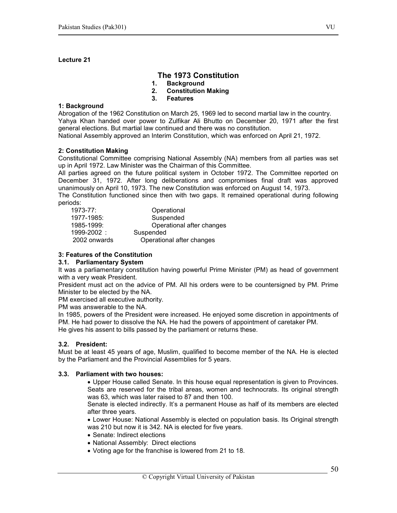# The 1973 Constitution

- 1. Background
- 2. Constitution Making
- 3. Features

#### 1: Background

Abrogation of the 1962 Constitution on March 25, 1969 led to second martial law in the country. Yahya Khan handed over power to Zulfikar Ali Bhutto on December 20, 1971 after the first general elections. But martial law continued and there was no constitution.

National Assembly approved an Interim Constitution, which was enforced on April 21, 1972.

#### 2: Constitution Making

Constitutional Committee comprising National Assembly (NA) members from all parties was set up in April 1972. Law Minister was the Chairman of this Committee.

All parties agreed on the future political system in October 1972. The Committee reported on December 31, 1972. After long deliberations and compromises final draft was approved unanimously on April 10, 1973. The new Constitution was enforced on August 14, 1973.

The Constitution functioned since then with two gaps. It remained operational during following periods:

| Operational after changes |
|---------------------------|
|                           |
|                           |
|                           |

#### 3: Features of the Constitution

#### 3.1. Parliamentary System

It was a parliamentary constitution having powerful Prime Minister (PM) as head of government with a very weak President.

President must act on the advice of PM. All his orders were to be countersigned by PM. Prime Minister to be elected by the NA.

PM exercised all executive authority.

PM was answerable to the NA.

In 1985, powers of the President were increased. He enjoyed some discretion in appointments of PM. He had power to dissolve the NA. He had the powers of appointment of caretaker PM. He gives his assent to bills passed by the parliament or returns these.

#### 3.2. President:

Must be at least 45 years of age, Muslim, qualified to become member of the NA. He is elected by the Parliament and the Provincial Assemblies for 5 years.

#### 3.3. Parliament with two houses:

• Upper House called Senate. In this house equal representation is given to Provinces. Seats are reserved for the tribal areas, women and technocrats. Its original strength was 63, which was later raised to 87 and then 100.

Senate is elected indirectly. It's a permanent House as half of its members are elected after three years.

• Lower House: National Assembly is elected on population basis. Its Original strength was 210 but now it is 342. NA is elected for five years.

- Senate: Indirect elections
- National Assembly: Direct elections
- Voting age for the franchise is lowered from 21 to 18.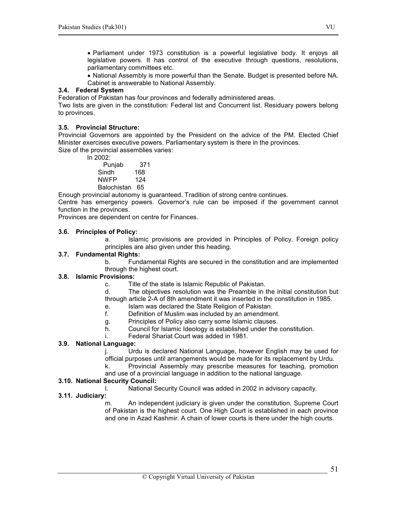• Parliament under 1973 constitution is a powerful legislative body. It enjoys all legislative powers. It has control of the executive through questions, resolutions, parliamentary committees etc.

• National Assembly is more powerful than the Senate. Budget is presented before NA. Cabinet is answerable to National Assembly.

#### 3.4. Federal System

Federation of Pakistan has four provinces and federally administered areas.

Two lists are given in the constitution: Federal list and Concurrent list. Residuary powers belong to provinces.

# 3.5. Provincial Structure:

Provincial Governors are appointed by the President on the advice of the PM. Elected Chief Minister exercises executive powers. Parliamentary system is there in the provinces. Size of the provincial assemblies varies:

 $\overline{\ln 2002}$ 

| III ZUUZ.      |     |
|----------------|-----|
| Punjab         | 371 |
| Sindh          | 168 |
| <b>NWFP</b>    | 124 |
| Balochistan 65 |     |

Enough provincial autonomy is guaranteed. Tradition of strong centre continues.

Centre has emergency powers. Governor's rule can be imposed if the government cannot function in the provinces.

Provinces are dependent on centre for Finances.

#### 3.6. Principles of Policy:

a. Islamic provisions are provided in Principles of Policy. Foreign policy principles are also given under this heading.

#### 3.7. Fundamental Rights:

b. Fundamental Rights are secured in the constitution and are implemented through the highest court.

# 3.8. Islamic Provisions:

- c. Title of the state is Islamic Republic of Pakistan.
- d. The objectives resolution was the Preamble in the initial constitution but through article 2-A of 8th amendment it was inserted in the constitution in 1985.

# e. Islam was declared the State Religion of Pakistan.

- f. Definition of Muslim was included by an amendment.
- g. Principles of Policy also carry some Islamic clauses.
- h. Council for Islamic Ideology is established under the constitution.
- i. Federal Shariat Court was added in 1981.

# 3.9. National Language:

j. Urdu is declared National Language, however English may be used for official purposes until arrangements would be made for its replacement by Urdu.

k. Provincial Assembly may prescribe measures for teaching, promotion and use of a provincial language in addition to the national language.

#### 3.10. National Security Council:

National Security Council was added in 2002 in advisory capacity.

# 3.11. Judiciary:

An independent judiciary is given under the constitution. Supreme Court of Pakistan is the highest court. One High Court is established in each province and one in Azad Kashmir. A chain of lower courts is there under the high courts.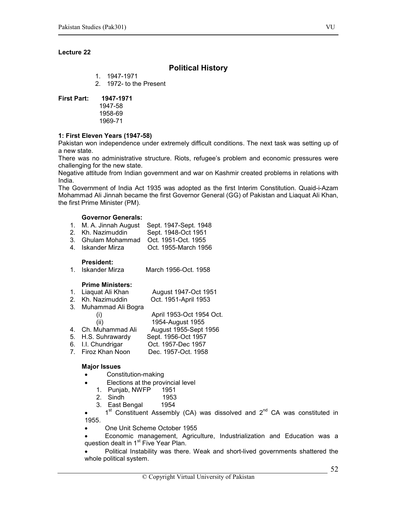# Political History

- 1. 1947-1971
- 2. 1972- to the Present

#### First Part: 1947-1971

1947-58 1958-69 1969-71

#### 1: First Eleven Years (1947-58)

Pakistan won independence under extremely difficult conditions. The next task was setting up of a new state.

There was no administrative structure. Riots, refugee's problem and economic pressures were challenging for the new state.

Negative attitude from Indian government and war on Kashmir created problems in relations with India.

The Government of India Act 1935 was adopted as the first Interim Constitution. Quaid-i-Azam Mohammad Ali Jinnah became the first Governor General (GG) of Pakistan and Liaquat Ali Khan, the first Prime Minister (PM).

#### Governor Generals:

- 1. M. A. Jinnah August Sept. 1947-Sept. 1948
- 2. Kh. Nazimuddin Sept. 1948-Oct 1951
- 3. Ghulam Mohammad Oct. 1951-Oct. 1955
- Oct. 1955-March 1956

**President:**<br>1. Iskander Mirza March 1956-Oct. 1958

#### Prime Ministers:

| 1. Liaquat Ali Khan   | August 1947-Oct 1951     |
|-----------------------|--------------------------|
| 2. Kh. Nazimuddin     | Oct. 1951-April 1953     |
| 3. Muhammad Ali Bogra |                          |
| $\mathbf{I}$          | April 1953-Oct 1954 Oct. |
| (ii)                  | 1954-August 1955         |
| 4. Ch. Muhammad Ali   | August 1955-Sept 1956    |
| 5. H.S. Suhrawardy    | Sept. 1956-Oct 1957      |
| 6. I.I. Chundrigar    | Oct. 1957-Dec 1957       |
| 7. Firoz Khan Noon    | Dec. 1957-Oct. 1958      |

#### Major Issues

- Constitution-making
	- Elections at the provincial level
		- 1. Punjab, NWFP 1951
		- 2. Sindh 1953
	- 3. East Bengal 1954

 $1<sup>st</sup>$  Constituent Assembly (CA) was dissolved and  $2<sup>nd</sup>$  CA was constituted in 1955.

- One Unit Scheme October 1955
- Economic management, Agriculture, Industrialization and Education was a question dealt in  $1<sup>st</sup>$  Five Year Plan.

• Political Instability was there. Weak and short-lived governments shattered the whole political system.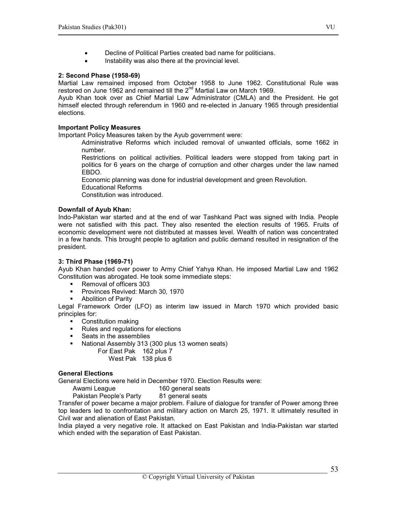- Decline of Political Parties created bad name for politicians.
- Instability was also there at the provincial level.

#### 2: Second Phase (1958-69)

Martial Law remained imposed from October 1958 to June 1962. Constitutional Rule was restored on June 1962 and remained till the 2<sup>nd</sup> Martial Law on March 1969.

Ayub Khan took over as Chief Martial Law Administrator (CMLA) and the President. He got himself elected through referendum in 1960 and re-elected in January 1965 through presidential elections.

#### Important Policy Measures

Important Policy Measures taken by the Ayub government were:

Administrative Reforms which included removal of unwanted officials, some 1662 in number.

Restrictions on political activities. Political leaders were stopped from taking part in politics for 6 years on the charge of corruption and other charges under the law named EBDO.

Economic planning was done for industrial development and green Revolution.

Educational Reforms

Constitution was introduced.

#### Downfall of Ayub Khan:

Indo-Pakistan war started and at the end of war Tashkand Pact was signed with India. People were not satisfied with this pact. They also resented the election results of 1965. Fruits of economic development were not distributed at masses level. Wealth of nation was concentrated in a few hands. This brought people to agitation and public demand resulted in resignation of the president.

# 3: Third Phase (1969-71)

Ayub Khan handed over power to Army Chief Yahya Khan. He imposed Martial Law and 1962 Constitution was abrogated. He took some immediate steps:

- Removal of officers 303
- Provinces Revived: March 30, 1970
- **Abolition of Parity**

Legal Framework Order (LFO) as interim law issued in March 1970 which provided basic principles for:

- **•** Constitution making
- Rules and regulations for elections
- Seats in the assemblies
- National Assembly 313 (300 plus 13 women seats)
	- For East Pak 162 plus 7 West Pak 138 plus 6

#### General Elections

General Elections were held in December 1970. Election Results were:

Awami League 160 general seats<br>Pakistan People's Party 81 general seats Pakistan People's Party

Transfer of power became a major problem. Failure of dialogue for transfer of Power among three top leaders led to confrontation and military action on March 25, 1971. It ultimately resulted in Civil war and alienation of East Pakistan.

India played a very negative role. It attacked on East Pakistan and India-Pakistan war started which ended with the separation of East Pakistan.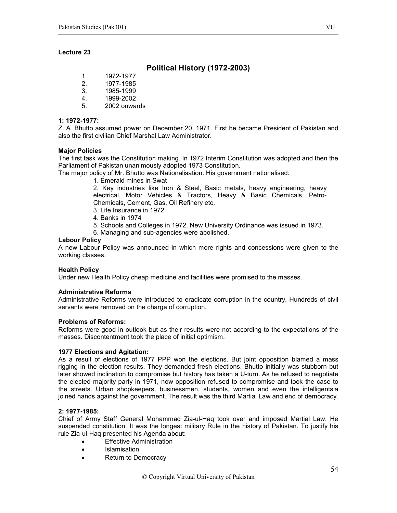# Political History (1972-2003)

- 1. 1972-1977
- 2. 1977-1985
- 3. 1985-1999
- 4. 1999-2002
- 5. 2002 onwards

#### 1: 1972-1977:

Z. A. Bhutto assumed power on December 20, 1971. First he became President of Pakistan and also the first civilian Chief Marshal Law Administrator.

#### Major Policies

The first task was the Constitution making. In 1972 Interim Constitution was adopted and then the Parliament of Pakistan unanimously adopted 1973 Constitution.

The major policy of Mr. Bhutto was Nationalisation. His government nationalised:

1. Emerald mines in Swat

2. Key industries like Iron & Steel, Basic metals, heavy engineering, heavy electrical, Motor Vehicles & Tractors, Heavy & Basic Chemicals, Petro-Chemicals, Cement, Gas, Oil Refinery etc.

- 3. Life Insurance in 1972
- 4. Banks in 1974
- 5. Schools and Colleges in 1972. New University Ordinance was issued in 1973.
- 6. Managing and sub-agencies were abolished.

#### Labour Policy

A new Labour Policy was announced in which more rights and concessions were given to the working classes.

#### Health Policy

Under new Health Policy cheap medicine and facilities were promised to the masses.

#### Administrative Reforms

Administrative Reforms were introduced to eradicate corruption in the country. Hundreds of civil servants were removed on the charge of corruption.

#### Problems of Reforms:

Reforms were good in outlook but as their results were not according to the expectations of the masses. Discontentment took the place of initial optimism.

#### 1977 Elections and Agitation:

As a result of elections of 1977 PPP won the elections. But joint opposition blamed a mass rigging in the election results. They demanded fresh elections. Bhutto initially was stubborn but later showed inclination to compromise but history has taken a U-turn. As he refused to negotiate the elected majority party in 1971, now opposition refused to compromise and took the case to the streets. Urban shopkeepers, businessmen, students, women and even the intelligentsia joined hands against the government. The result was the third Martial Law and end of democracy.

#### 2: 1977-1985:

Chief of Army Staff General Mohammad Zia-ul-Haq took over and imposed Martial Law. He suspended constitution. It was the longest military Rule in the history of Pakistan. To justify his rule Zia-ul-Haq presented his Agenda about:

- **Effective Administration**
- Islamisation
- Return to Democracy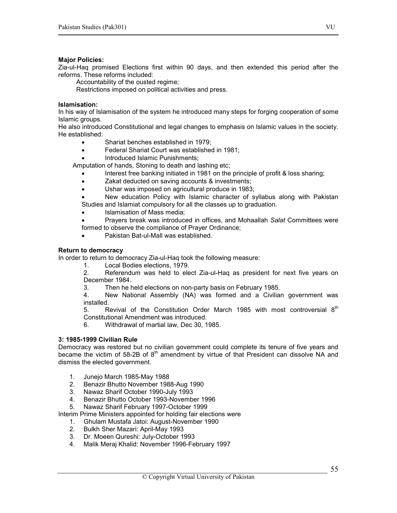#### Major Policies:

Zia-ul-Haq promised Elections first within 90 days, and then extended this period after the reforms. These reforms included:

Accountability of the ousted regime;

Restrictions imposed on political activities and press.

#### Islamisation:

In his way of Islamisation of the system he introduced many steps for forging cooperation of some Islamic groups.

He also introduced Constitutional and legal changes to emphasis on Islamic values in the society. He established:

- Shariat benches established in 1979;
- Federal Shariat Court was established in 1981;
- Introduced Islamic Punishments;

Amputation of hands, Stoning to death and lashing etc;

- Interest free banking initiated in 1981 on the principle of profit & loss sharing;
- Zakat deducted on saving accounts & investments;
- Ushar was imposed on agricultural produce in 1983;

• New education Policy with Islamic character of syllabus along with Pakistan Studies and Islamiat compulsory for all the classes up to graduation.

• Islamisation of Mass media;

Prayers break was introduced in offices, and Mohaallah Salat Committees were formed to observe the compliance of Prayer Ordinance;

• Pakistan Bat-ul-Mall was established.

#### Return to democracy

In order to return to democracy Zia-ul-Haq took the following measure:

1. Local Bodies elections, 1979.

2. Referendum was held to elect Zia-ul-Haq as president for next five years on December 1984.

3. Then he held elections on non-party basis on February 1985.

4. New National Assembly (NA) was formed and a Civilian government was installed.

5. Revival of the Constitution Order March 1985 with most controversial 8<sup>th</sup> Constitutional Amendment was introduced.

6. Withdrawal of martial law, Dec 30, 1985.

#### 3: 1985-1999 Civilian Rule

Democracy was restored but no civilian government could complete its tenure of five years and became the victim of 58-2B of  $8<sup>th</sup>$  amendment by virtue of that President can dissolve NA and dismiss the elected government.

- 1. Junejo March 1985-May 1988
- 2. Benazir Bhutto November 1988-Aug 1990
- 3. Nawaz Sharif October 1990-July 1993
- 4. Benazir Bhutto October 1993-November 1996
- 5. Nawaz Sharif February 1997-October 1999

Interim Prime Ministers appointed for holding fair elections were

- 1. Ghulam Mustafa Jatoi: August-November 1990
- 2. Bulkh Sher Mazari: April-May 1993
- 3. Dr. Moeen Qureshi: July-October 1993
- 4. Malik Meraj Khalid: November 1996-February 1997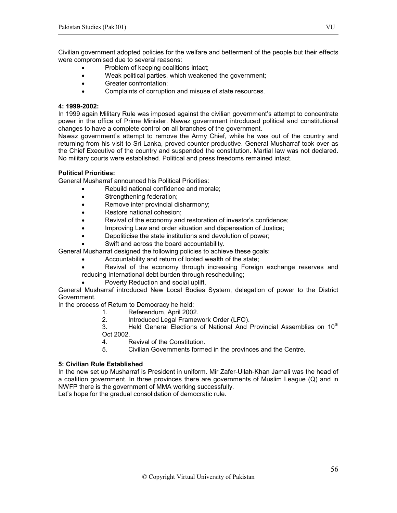Civilian government adopted policies for the welfare and betterment of the people but their effects were compromised due to several reasons:

- Problem of keeping coalitions intact;
- Weak political parties, which weakened the government;
- Greater confrontation;
- Complaints of corruption and misuse of state resources.

#### 4: 1999-2002:

In 1999 again Military Rule was imposed against the civilian government's attempt to concentrate power in the office of Prime Minister. Nawaz government introduced political and constitutional changes to have a complete control on all branches of the government.

Nawaz government's attempt to remove the Army Chief, while he was out of the country and returning from his visit to Sri Lanka, proved counter productive. General Musharraf took over as the Chief Executive of the country and suspended the constitution. Martial law was not declared. No military courts were established. Political and press freedoms remained intact.

# Political Priorities:

General Musharraf announced his Political Priorities:

- Rebuild national confidence and morale;
- Strengthening federation;
- Remove inter provincial disharmony;
- Restore national cohesion;
- Revival of the economy and restoration of investor's confidence;
- Improving Law and order situation and dispensation of Justice;
- Depoliticise the state institutions and devolution of power;
- Swift and across the board accountability.

General Musharraf designed the following policies to achieve these goals:

- Accountability and return of looted wealth of the state;
- Revival of the economy through increasing Foreign exchange reserves and reducing International debt burden through rescheduling;
	- Poverty Reduction and social uplift.

General Musharraf introduced New Local Bodies System, delegation of power to the District Government.

In the process of Return to Democracy he held:

- 1. Referendum, April 2002.
- 2. Introduced Legal Framework Order (LFO).

3. Held General Elections of National And Provincial Assemblies on 10<sup>th</sup> Oct 2002.

- 4. Revival of the Constitution.
- 5. Civilian Governments formed in the provinces and the Centre.

# 5: Civilian Rule Established

In the new set up Musharraf is President in uniform. Mir Zafer-Ullah-Khan Jamali was the head of a coalition government. In three provinces there are governments of Muslim League (Q) and in NWFP there is the government of MMA working successfully.

Let's hope for the gradual consolidation of democratic rule.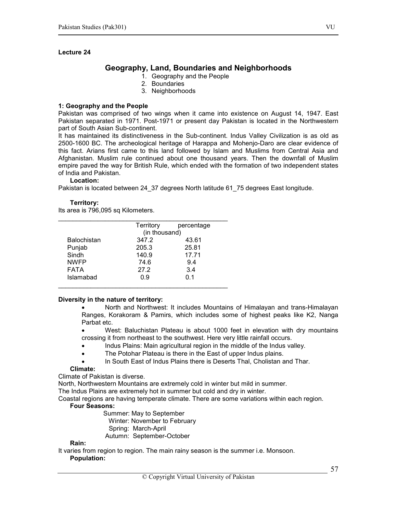# Geography, Land, Boundaries and Neighborhoods

- 1. Geography and the People
- 2. Boundaries
- 3. Neighborhoods

#### 1: Geography and the People

Pakistan was comprised of two wings when it came into existence on August 14, 1947. East Pakistan separated in 1971. Post-1971 or present day Pakistan is located in the Northwestern part of South Asian Sub-continent.

It has maintained its distinctiveness in the Sub-continent. Indus Valley Civilization is as old as 2500-1600 BC. The archeological heritage of Harappa and Mohenjo-Daro are clear evidence of this fact. Arians first came to this land followed by Islam and Muslims from Central Asia and Afghanistan. Muslim rule continued about one thousand years. Then the downfall of Muslim empire paved the way for British Rule, which ended with the formation of two independent states of India and Pakistan.

#### Location:

Pakistan is located between 24\_37 degrees North latitude 61\_75 degrees East longitude.

#### Territory:

Its area is 796,095 sq Kilometers.

|                    | Territory     | percentage |  |
|--------------------|---------------|------------|--|
|                    | (in thousand) |            |  |
| <b>Balochistan</b> | 347.2         | 43.61      |  |
| Punjab             | 205.3         | 25.81      |  |
| Sindh              | 140.9         | 17.71      |  |
| <b>NWFP</b>        | 74.6          | 9.4        |  |
| <b>FATA</b>        | 27.2          | 3.4        |  |
| Islamabad          | 0.9           | 0.1        |  |
|                    |               |            |  |

#### Diversity in the nature of territory:

• North and Northwest: It includes Mountains of Himalayan and trans-Himalayan Ranges, Korakoram & Pamirs, which includes some of highest peaks like K2, Nanga Parbat etc.

• West: Baluchistan Plateau is about 1000 feet in elevation with dry mountains crossing it from northeast to the southwest. Here very little rainfall occurs.

- Indus Plains: Main agricultural region in the middle of the Indus valley.
- The Potohar Plateau is there in the East of upper Indus plains.
- In South East of Indus Plains there is Deserts Thal, Cholistan and Thar.

#### Climate:

Climate of Pakistan is diverse.

North, Northwestern Mountains are extremely cold in winter but mild in summer.

The Indus Plains are extremely hot in summer but cold and dry in winter.

Coastal regions are having temperate climate. There are some variations within each region.

# Four Seasons:

 Summer: May to September Winter: November to February Spring: March-April

Autumn: September-October

#### Rain:

It varies from region to region. The main rainy season is the summer i.e. Monsoon.

#### Population: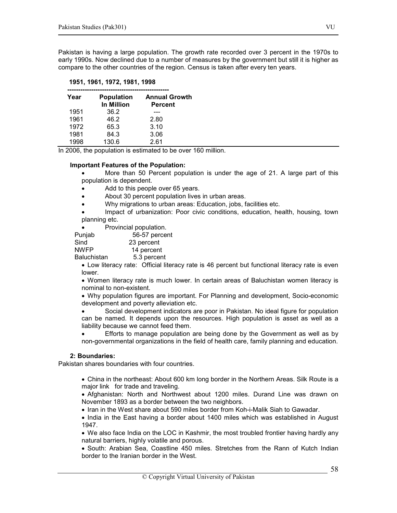Pakistan is having a large population. The growth rate recorded over 3 percent in the 1970s to early 1990s. Now declined due to a number of measures by the government but still it is higher as compare to the other countries of the region. Census is taken after every ten years.

#### 1951, 1961, 1972, 1981, 1998

| Year | <b>Population</b><br><b>In Million</b> | <b>Annual Growth</b><br><b>Percent</b> |
|------|----------------------------------------|----------------------------------------|
| 1951 | 36.2                                   |                                        |
| 1961 | 46.2                                   | 2.80                                   |
| 1972 | 65.3                                   | 3.10                                   |
| 1981 | 84.3                                   | 3.06                                   |
| 1998 | 130.6                                  | 2.61                                   |

In 2006, the population is estimated to be over 160 million.

#### Important Features of the Population:

More than 50 Percent population is under the age of 21. A large part of this population is dependent.

- Add to this people over 65 years.
- About 30 percent population lives in urban areas.
- Why migrations to urban areas: Education, jobs, facilities etc.

• Impact of urbanization: Poor civic conditions, education, health, housing, town planning etc.

| Provincial population. |  |
|------------------------|--|
|------------------------|--|

Punjab 56-57 percent

| Sind | 23 percent |
|------|------------|
|------|------------|

NWFP 14 percent

Baluchistan 5.3 percent

• Low literacy rate: Official literacy rate is 46 percent but functional literacy rate is even lower.

• Women literacy rate is much lower. In certain areas of Baluchistan women literacy is nominal to non-existent.

• Why population figures are important. For Planning and development, Socio-economic development and poverty alleviation etc.

• Social development indicators are poor in Pakistan. No ideal figure for population can be named. It depends upon the resources. High population is asset as well as a liability because we cannot feed them.

• Efforts to manage population are being done by the Government as well as by non-governmental organizations in the field of health care, family planning and education.

#### 2: Boundaries:

Pakistan shares boundaries with four countries.

- China in the northeast: About 600 km long border in the Northern Areas. Silk Route is a major link for trade and traveling.
- Afghanistan: North and Northwest about 1200 miles. Durand Line was drawn on November 1893 as a border between the two neighbors.
- Iran in the West share about 590 miles border from Koh-i-Malik Siah to Gawadar.
- India in the East having a border about 1400 miles which was established in August 1947.

• We also face India on the LOC in Kashmir, the most troubled frontier having hardly any natural barriers, highly volatile and porous.

• South: Arabian Sea, Coastline 450 miles. Stretches from the Rann of Kutch Indian border to the Iranian border in the West.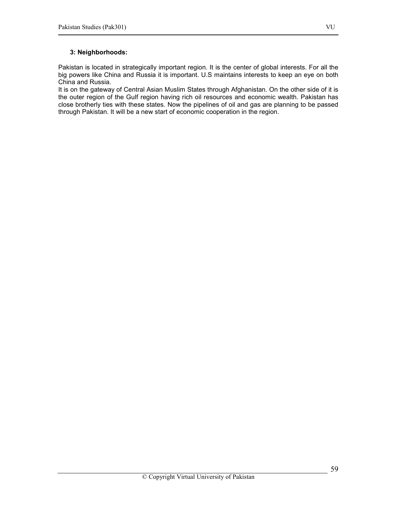# 3: Neighborhoods:

Pakistan is located in strategically important region. It is the center of global interests. For all the big powers like China and Russia it is important. U.S maintains interests to keep an eye on both China and Russia.

It is on the gateway of Central Asian Muslim States through Afghanistan. On the other side of it is the outer region of the Gulf region having rich oil resources and economic wealth. Pakistan has close brotherly ties with these states. Now the pipelines of oil and gas are planning to be passed through Pakistan. It will be a new start of economic cooperation in the region.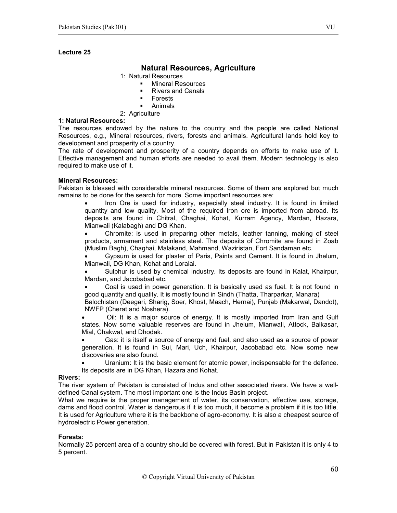# Natural Resources, Agriculture

#### 1: Natural Resources

- **Mineral Resources**
- Rivers and Canals
- Forests
- Animals
- 2: Agriculture

#### 1: Natural Resources:

The resources endowed by the nature to the country and the people are called National Resources, e.g., Mineral resources, rivers, forests and animals. Agricultural lands hold key to development and prosperity of a country.

The rate of development and prosperity of a country depends on efforts to make use of it. Effective management and human efforts are needed to avail them. Modern technology is also required to make use of it.

#### Mineral Resources:

Pakistan is blessed with considerable mineral resources. Some of them are explored but much remains to be done for the search for more. Some important resources are:

• Iron Ore is used for industry, especially steel industry. It is found in limited quantity and low quality. Most of the required Iron ore is imported from abroad. Its deposits are found in Chitral, Chaghai, Kohat, Kurram Agency, Mardan, Hazara, Mianwali (Kalabagh) and DG Khan.

• Chromite: is used in preparing other metals, leather tanning, making of steel products, armament and stainless steel. The deposits of Chromite are found in Zoab (Muslim Bagh), Chaghai, Malakand, Mahmand, Waziristan, Fort Sandaman etc.

• Gypsum is used for plaster of Paris, Paints and Cement. It is found in Jhelum, Mianwali, DG Khan, Kohat and Loralai.

• Sulphur is used by chemical industry. Its deposits are found in Kalat, Khairpur, Mardan, and Jacobabad etc.

• Coal is used in power generation. It is basically used as fuel. It is not found in good quantity and quality. It is mostly found in Sindh (Thatta, Tharparkar, Manara)

Balochistan (Deegari, Sharig, Soer, Khost, Maach, Hernai), Punjab (Makarwal, Dandot), NWFP (Cherat and Noshera).

Oil: It is a major source of energy. It is mostly imported from Iran and Gulf states. Now some valuable reserves are found in Jhelum, Mianwali, Attock, Balkasar, Mial, Chakwal, and Dhodak.

• Gas: it is itself a source of energy and fuel, and also used as a source of power generation. It is found in Sui, Mari, Uch, Khairpur, Jacobabad etc. Now some new discoveries are also found.

• Uranium: It is the basic element for atomic power, indispensable for the defence. Its deposits are in DG Khan, Hazara and Kohat.

#### Rivers:

The river system of Pakistan is consisted of Indus and other associated rivers. We have a welldefined Canal system. The most important one is the Indus Basin project.

What we require is the proper management of water, its conservation, effective use, storage, dams and flood control. Water is dangerous if it is too much, it become a problem if it is too little. It is used for Agriculture where it is the backbone of agro-economy. It is also a cheapest source of hydroelectric Power generation.

#### Forests:

Normally 25 percent area of a country should be covered with forest. But in Pakistan it is only 4 to 5 percent.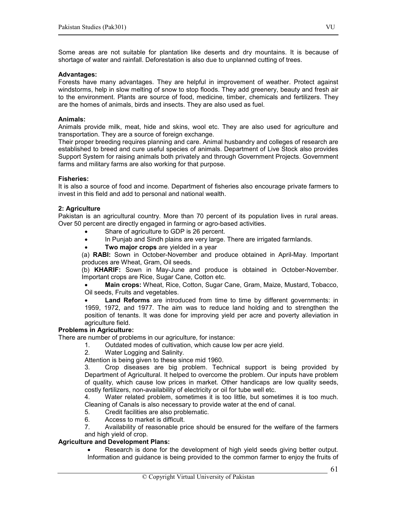Some areas are not suitable for plantation like deserts and dry mountains. It is because of shortage of water and rainfall. Deforestation is also due to unplanned cutting of trees.

#### Advantages:

Forests have many advantages. They are helpful in improvement of weather. Protect against windstorms, help in slow melting of snow to stop floods. They add greenery, beauty and fresh air to the environment. Plants are source of food, medicine, timber, chemicals and fertilizers. They are the homes of animals, birds and insects. They are also used as fuel.

#### Animals:

Animals provide milk, meat, hide and skins, wool etc. They are also used for agriculture and transportation. They are a source of foreign exchange.

Their proper breeding requires planning and care. Animal husbandry and colleges of research are established to breed and cure useful species of animals. Department of Live Stock also provides Support System for raising animals both privately and through Government Projects. Government farms and military farms are also working for that purpose.

#### Fisheries:

It is also a source of food and income. Department of fisheries also encourage private farmers to invest in this field and add to personal and national wealth.

#### 2: Agriculture

Pakistan is an agricultural country. More than 70 percent of its population lives in rural areas. Over 50 percent are directly engaged in farming or agro-based activities.

- Share of agriculture to GDP is 26 percent.
- In Punjab and Sindh plains are very large. There are irrigated farmlands.
- Two major crops are yielded in a year

(a) RABI: Sown in October-November and produce obtained in April-May. Important produces are Wheat, Gram, Oil seeds.

(b) KHARIF: Sown in May-June and produce is obtained in October-November. Important crops are Rice, Sugar Cane, Cotton etc.

Main crops: Wheat, Rice, Cotton, Sugar Cane, Gram, Maize, Mustard, Tobacco, Oil seeds, Fruits and vegetables.

Land Reforms are introduced from time to time by different governments: in 1959, 1972, and 1977. The aim was to reduce land holding and to strengthen the position of tenants. It was done for improving yield per acre and poverty alleviation in agriculture field.

#### Problems in Agriculture:

There are number of problems in our agriculture, for instance:

- 1. Outdated modes of cultivation, which cause low per acre yield.
- 2. Water Logging and Salinity.

Attention is being given to these since mid 1960.

3. Crop diseases are big problem. Technical support is being provided by Department of Agricultural. It helped to overcome the problem. Our inputs have problem of quality, which cause low prices in market. Other handicaps are low quality seeds, costly fertilizers, non-availability of electricity or oil for tube well etc.

4. Water related problem, sometimes it is too little, but sometimes it is too much. Cleaning of Canals is also necessary to provide water at the end of canal.

- 5. Credit facilities are also problematic.
- 6. Access to market is difficult.<br>7. Availability of reasonable pr

Availability of reasonable price should be ensured for the welfare of the farmers and high yield of crop.

#### Agriculture and Development Plans:

• Research is done for the development of high yield seeds giving better output. Information and guidance is being provided to the common farmer to enjoy the fruits of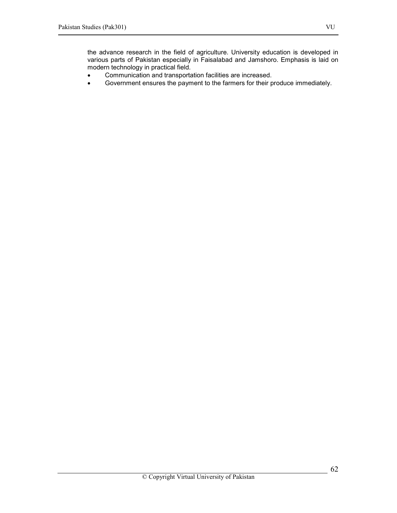the advance research in the field of agriculture. University education is developed in various parts of Pakistan especially in Faisalabad and Jamshoro. Emphasis is laid on modern technology in practical field.

- Communication and transportation facilities are increased.
- Government ensures the payment to the farmers for their produce immediately.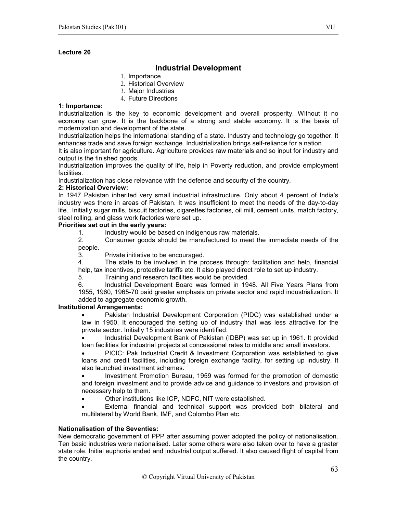# Industrial Development

- 1. Importance
- 2. Historical Overview
- 3. Major Industries
- 4. Future Directions

## 1: Importance:

Industrialization is the key to economic development and overall prosperity. Without it no economy can grow. It is the backbone of a strong and stable economy. It is the basis of modernization and development of the state.

Industrialization helps the international standing of a state. Industry and technology go together. It enhances trade and save foreign exchange. Industrialization brings self-reliance for a nation.

It is also important for agriculture. Agriculture provides raw materials and so input for industry and output is the finished goods.

Industrialization improves the quality of life, help in Poverty reduction, and provide employment facilities.

Industrialization has close relevance with the defence and security of the country.

#### 2: Historical Overview:

In 1947 Pakistan inherited very small industrial infrastructure. Only about 4 percent of India's industry was there in areas of Pakistan. It was insufficient to meet the needs of the day-to-day life. Initially sugar mills, biscuit factories, cigarettes factories, oil mill, cement units, match factory, steel rolling, and glass work factories were set up.

# Priorities set out in the early years:

1. Industry would be based on indigenous raw materials.

2. Consumer goods should be manufactured to meet the immediate needs of the people.

3. Private initiative to be encouraged.

4. The state to be involved in the process through: facilitation and help, financial help, tax incentives, protective tariffs etc. It also played direct role to set up industry.

5. Training and research facilities would be provided.

6. Industrial Development Board was formed in 1948. All Five Years Plans from 1955, 1960, 1965-70 paid greater emphasis on private sector and rapid industrialization. It added to aggregate economic growth.

# Institutional Arrangements:

• Pakistan Industrial Development Corporation (PIDC) was established under a law in 1950. It encouraged the setting up of industry that was less attractive for the private sector. Initially 15 industries were identified.

• Industrial Development Bank of Pakistan (IDBP) was set up in 1961. It provided loan facilities for industrial projects at concessional rates to middle and small investors.

• PICIC: Pak Industrial Credit & Investment Corporation was established to give loans and credit facilities, including foreign exchange facility, for setting up industry. It also launched investment schemes.

• Investment Promotion Bureau, 1959 was formed for the promotion of domestic and foreign investment and to provide advice and guidance to investors and provision of necessary help to them.

• Other institutions like ICP, NDFC, NIT were established.

External financial and technical support was provided both bilateral and multilateral by World Bank, IMF, and Colombo Plan etc.

#### Nationalisation of the Seventies:

New democratic government of PPP after assuming power adopted the policy of nationalisation. Ten basic industries were nationalised. Later some others were also taken over to have a greater state role. Initial euphoria ended and industrial output suffered. It also caused flight of capital from the country.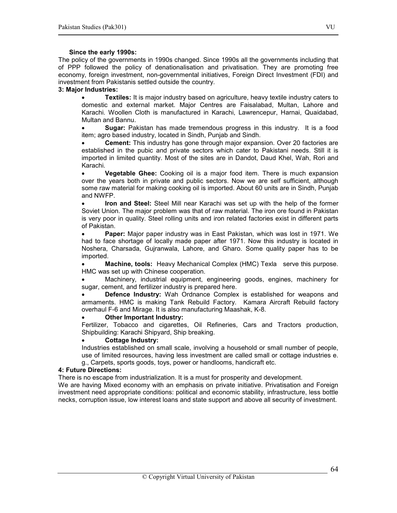#### Since the early 1990s:

The policy of the governments in 1990s changed. Since 1990s all the governments including that of PPP followed the policy of denationalisation and privatisation. They are promoting free economy, foreign investment, non-governmental initiatives, Foreign Direct Investment (FDI) and investment from Pakistanis settled outside the country.

# 3: Major Industries:

**Textiles:** It is major industry based on agriculture, heavy textile industry caters to domestic and external market. Major Centres are Faisalabad, Multan, Lahore and Karachi. Woollen Cloth is manufactured in Karachi, Lawrencepur, Harnai, Quaidabad, Multan and Bannu.

**Sugar:** Pakistan has made tremendous progress in this industry. It is a food item; agro based industry, located in Sindh, Punjab and Sindh.

**Cement:** This industry has gone through major expansion. Over 20 factories are established in the pubic and private sectors which cater to Pakistani needs. Still it is imported in limited quantity. Most of the sites are in Dandot, Daud Khel, Wah, Rori and Karachi.

• Vegetable Ghee: Cooking oil is a major food item. There is much expansion over the years both in private and public sectors. Now we are self sufficient, although some raw material for making cooking oil is imported. About 60 units are in Sindh, Punjab and NWFP.

Iron and Steel: Steel Mill near Karachi was set up with the help of the former Soviet Union. The major problem was that of raw material. The iron ore found in Pakistan is very poor in quality. Steel rolling units and iron related factories exist in different parts of Pakistan.

Paper: Major paper industry was in East Pakistan, which was lost in 1971. We had to face shortage of locally made paper after 1971. Now this industry is located in Noshera, Charsada, Gujranwala, Lahore, and Gharo. Some quality paper has to be imported.

• Machine, tools: Heavy Mechanical Complex (HMC) Texla serve this purpose. HMC was set up with Chinese cooperation.

• Machinery, industrial equipment, engineering goods, engines, machinery for sugar, cement, and fertilizer industry is prepared here.

**Defence Industry:** Wah Ordnance Complex is established for weapons and armaments. HMC is making Tank Rebuild Factory. Kamara Aircraft Rebuild factory overhaul F-6 and Mirage. It is also manufacturing Maashak, K-8.

#### Other Important Industry:

Fertilizer, Tobacco and cigarettes, Oil Refineries, Cars and Tractors production, Shipbuilding: Karachi Shipyard, Ship breaking.

#### Cottage Industry:

Industries established on small scale, involving a household or small number of people, use of limited resources, having less investment are called small or cottage industries e. g., Carpets, sports goods, toys, power or handlooms, handicraft etc.

#### 4: Future Directions:

There is no escape from industrialization. It is a must for prosperity and development.

We are having Mixed economy with an emphasis on private initiative. Privatisation and Foreign investment need appropriate conditions: political and economic stability, infrastructure, less bottle necks, corruption issue, low interest loans and state support and above all security of investment.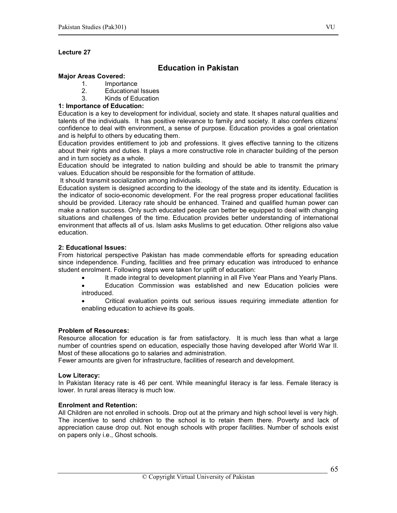# Education in Pakistan

#### Major Areas Covered:

- 1. Importance
- 2. Educational Issues
- 3. Kinds of Education

#### 1: Importance of Education:

Education is a key to development for individual, society and state. It shapes natural qualities and talents of the individuals. It has positive relevance to family and society. It also confers citizens' confidence to deal with environment, a sense of purpose. Education provides a goal orientation and is helpful to others by educating them.

Education provides entitlement to job and professions. It gives effective tanning to the citizens about their rights and duties. It plays a more constructive role in character building of the person and in turn society as a whole.

Education should be integrated to nation building and should be able to transmit the primary values. Education should be responsible for the formation of attitude.

It should transmit socialization among individuals.

Education system is designed according to the ideology of the state and its identity. Education is the indicator of socio-economic development. For the real progress proper educational facilities should be provided. Literacy rate should be enhanced. Trained and qualified human power can make a nation success. Only such educated people can better be equipped to deal with changing situations and challenges of the time. Education provides better understanding of international environment that affects all of us. Islam asks Muslims to get education. Other religions also value education.

#### 2: Educational Issues:

From historical perspective Pakistan has made commendable efforts for spreading education since independence. Funding, facilities and free primary education was introduced to enhance student enrolment. Following steps were taken for uplift of education:

- It made integral to development planning in all Five Year Plans and Yearly Plans.
- Education Commission was established and new Education policies were introduced.

• Critical evaluation points out serious issues requiring immediate attention for enabling education to achieve its goals.

#### Problem of Resources:

Resource allocation for education is far from satisfactory. It is much less than what a large number of countries spend on education, especially those having developed after World War II. Most of these allocations go to salaries and administration.

Fewer amounts are given for infrastructure, facilities of research and development.

#### Low Literacy:

In Pakistan literacy rate is 46 per cent. While meaningful literacy is far less. Female literacy is lower. In rural areas literacy is much low.

#### Enrolment and Retention:

All Children are not enrolled in schools. Drop out at the primary and high school level is very high. The incentive to send children to the school is to retain them there. Poverty and lack of appreciation cause drop out. Not enough schools with proper facilities. Number of schools exist on papers only i.e., Ghost schools.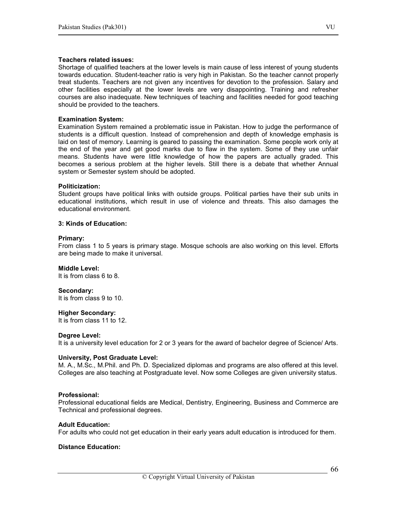#### Teachers related issues:

Shortage of qualified teachers at the lower levels is main cause of less interest of young students towards education. Student-teacher ratio is very high in Pakistan. So the teacher cannot properly treat students. Teachers are not given any incentives for devotion to the profession. Salary and other facilities especially at the lower levels are very disappointing. Training and refresher courses are also inadequate. New techniques of teaching and facilities needed for good teaching should be provided to the teachers.

#### Examination System:

Examination System remained a problematic issue in Pakistan. How to judge the performance of students is a difficult question. Instead of comprehension and depth of knowledge emphasis is laid on test of memory. Learning is geared to passing the examination. Some people work only at the end of the year and get good marks due to flaw in the system. Some of they use unfair means. Students have were little knowledge of how the papers are actually graded. This becomes a serious problem at the higher levels. Still there is a debate that whether Annual system or Semester system should be adopted.

#### Politicization:

Student groups have political links with outside groups. Political parties have their sub units in educational institutions, which result in use of violence and threats. This also damages the educational environment.

#### 3: Kinds of Education:

#### Primary:

From class 1 to 5 years is primary stage. Mosque schools are also working on this level. Efforts are being made to make it universal.

#### Middle Level:

It is from class 6 to 8.

#### Secondary:

It is from class 9 to 10.

#### Higher Secondary:

It is from class 11 to 12.

#### Degree Level:

It is a university level education for 2 or 3 years for the award of bachelor degree of Science/ Arts.

#### University, Post Graduate Level:

M. A., M.Sc., M.Phil. and Ph. D. Specialized diplomas and programs are also offered at this level. Colleges are also teaching at Postgraduate level. Now some Colleges are given university status.

#### Professional:

Professional educational fields are Medical, Dentistry, Engineering, Business and Commerce are Technical and professional degrees.

#### Adult Education:

For adults who could not get education in their early years adult education is introduced for them.

#### Distance Education: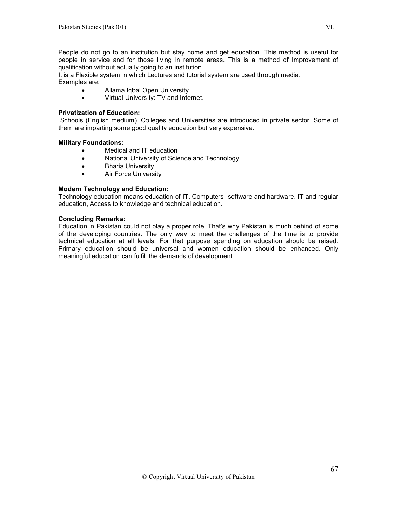People do not go to an institution but stay home and get education. This method is useful for people in service and for those living in remote areas. This is a method of Improvement of qualification without actually going to an institution.

It is a Flexible system in which Lectures and tutorial system are used through media. Examples are:

- Allama Iqbal Open University.
- Virtual University: TV and Internet.

#### Privatization of Education:

 Schools (English medium), Colleges and Universities are introduced in private sector. Some of them are imparting some good quality education but very expensive.

#### Military Foundations:

- Medical and IT education
- National University of Science and Technology
- Bharia University
- Air Force University

# Modern Technology and Education:

Technology education means education of IT, Computers- software and hardware. IT and regular education, Access to knowledge and technical education.

#### Concluding Remarks:

Education in Pakistan could not play a proper role. That's why Pakistan is much behind of some of the developing countries. The only way to meet the challenges of the time is to provide technical education at all levels. For that purpose spending on education should be raised. Primary education should be universal and women education should be enhanced. Only meaningful education can fulfill the demands of development.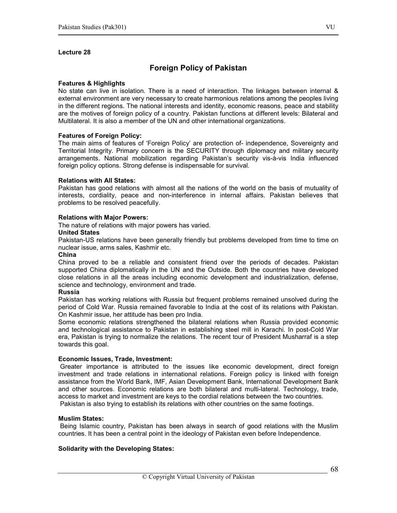# Foreign Policy of Pakistan

#### Features & Highlights

No state can live in isolation. There is a need of interaction. The linkages between internal & external environment are very necessary to create harmonious relations among the peoples living in the different regions. The national interests and identity, economic reasons, peace and stability are the motives of foreign policy of a country. Pakistan functions at different levels: Bilateral and Multilateral. It is also a member of the UN and other international organizations.

#### Features of Foreign Policy:

The main aims of features of 'Foreign Policy' are protection of- independence, Sovereignty and Territorial Integrity. Primary concern is the SECURITY through diplomacy and military security arrangements. National mobilization regarding Pakistan's security vis-à-vis India influenced foreign policy options. Strong defense is indispensable for survival.

#### Relations with All States:

Pakistan has good relations with almost all the nations of the world on the basis of mutuality of interests, cordiality, peace and non-interference in internal affairs. Pakistan believes that problems to be resolved peacefully.

#### Relations with Major Powers:

The nature of relations with major powers has varied.

#### United States

Pakistan-US relations have been generally friendly but problems developed from time to time on nuclear issue, arms sales, Kashmir etc.

#### China

China proved to be a reliable and consistent friend over the periods of decades. Pakistan supported China diplomatically in the UN and the Outside. Both the countries have developed close relations in all the areas including economic development and industrialization, defense, science and technology, environment and trade.

#### Russia

Pakistan has working relations with Russia but frequent problems remained unsolved during the period of Cold War. Russia remained favorable to India at the cost of its relations with Pakistan. On Kashmir issue, her attitude has been pro India.

Some economic relations strengthened the bilateral relations when Russia provided economic and technological assistance to Pakistan in establishing steel mill in Karachi. In post-Cold War era, Pakistan is trying to normalize the relations. The recent tour of President Musharraf is a step towards this goal.

#### Economic Issues, Trade, Investment:

 Greater importance is attributed to the issues like economic development, direct foreign investment and trade relations in international relations. Foreign policy is linked with foreign assistance from the World Bank, IMF, Asian Development Bank, International Development Bank and other sources. Economic relations are both bilateral and multi-lateral. Technology, trade, access to market and investment are keys to the cordial relations between the two countries. Pakistan is also trying to establish its relations with other countries on the same footings.

#### Muslim States:

 Being Islamic country, Pakistan has been always in search of good relations with the Muslim countries. It has been a central point in the ideology of Pakistan even before Independence.

#### Solidarity with the Developing States: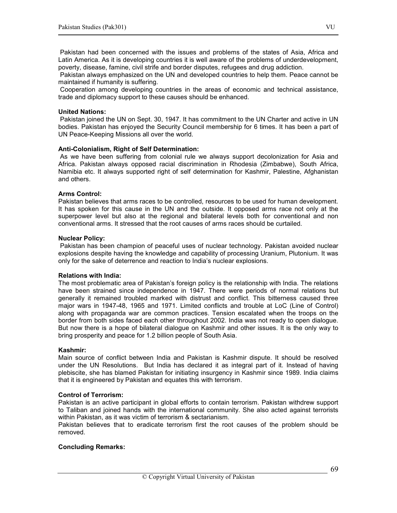Pakistan had been concerned with the issues and problems of the states of Asia, Africa and Latin America. As it is developing countries it is well aware of the problems of underdevelopment, poverty, disease, famine, civil strife and border disputes, refugees and drug addiction.

 Pakistan always emphasized on the UN and developed countries to help them. Peace cannot be maintained if humanity is suffering.

 Cooperation among developing countries in the areas of economic and technical assistance, trade and diplomacy support to these causes should be enhanced.

#### United Nations:

 Pakistan joined the UN on Sept. 30, 1947. It has commitment to the UN Charter and active in UN bodies. Pakistan has enjoyed the Security Council membership for 6 times. It has been a part of UN Peace-Keeping Missions all over the world.

#### Anti-Colonialism, Right of Self Determination:

 As we have been suffering from colonial rule we always support decolonization for Asia and Africa. Pakistan always opposed racial discrimination in Rhodesia (Zimbabwe), South Africa, Namibia etc. It always supported right of self determination for Kashmir, Palestine, Afghanistan and others.

#### Arms Control:

Pakistan believes that arms races to be controlled, resources to be used for human development. It has spoken for this cause in the UN and the outside. It opposed arms race not only at the superpower level but also at the regional and bilateral levels both for conventional and non conventional arms. It stressed that the root causes of arms races should be curtailed.

#### Nuclear Policy:

 Pakistan has been champion of peaceful uses of nuclear technology. Pakistan avoided nuclear explosions despite having the knowledge and capability of processing Uranium, Plutonium. It was only for the sake of deterrence and reaction to India's nuclear explosions.

#### Relations with India:

The most problematic area of Pakistan's foreign policy is the relationship with India. The relations have been strained since independence in 1947. There were periods of normal relations but generally it remained troubled marked with distrust and conflict. This bitterness caused three major wars in 1947-48, 1965 and 1971. Limited conflicts and trouble at LoC (Line of Control) along with propaganda war are common practices. Tension escalated when the troops on the border from both sides faced each other throughout 2002. India was not ready to open dialogue. But now there is a hope of bilateral dialogue on Kashmir and other issues. It is the only way to bring prosperity and peace for 1.2 billion people of South Asia.

#### Kashmir:

Main source of conflict between India and Pakistan is Kashmir dispute. It should be resolved under the UN Resolutions. But India has declared it as integral part of it. Instead of having plebiscite, she has blamed Pakistan for initiating insurgency in Kashmir since 1989. India claims that it is engineered by Pakistan and equates this with terrorism.

#### Control of Terrorism:

Pakistan is an active participant in global efforts to contain terrorism. Pakistan withdrew support to Taliban and joined hands with the international community. She also acted against terrorists within Pakistan, as it was victim of terrorism & sectarianism.

Pakistan believes that to eradicate terrorism first the root causes of the problem should be removed.

# Concluding Remarks: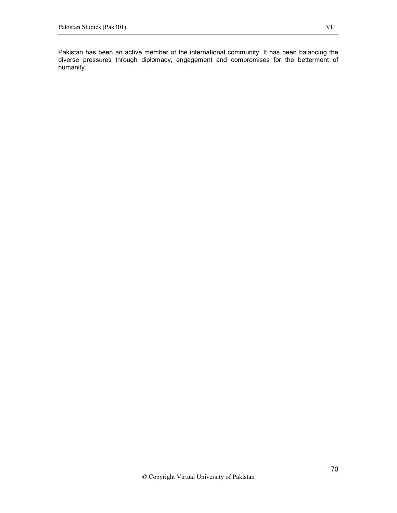Pakistan has been an active member of the international community. It has been balancing the diverse pressures through diplomacy, engagement and compromises for the betterment of humanity.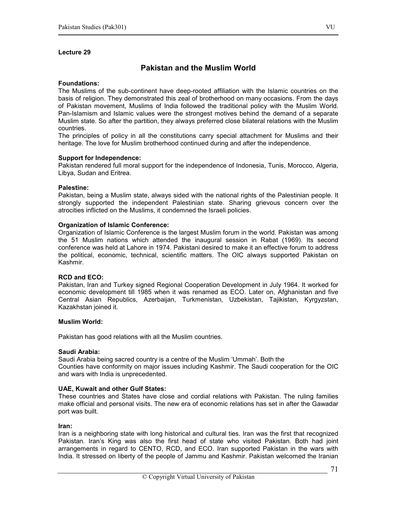# Pakistan and the Muslim World

#### Foundations:

The Muslims of the sub-continent have deep-rooted affiliation with the Islamic countries on the basis of religion. They demonstrated this zeal of brotherhood on many occasions. From the days of Pakistan movement, Muslims of India followed the traditional policy with the Muslim World. Pan-Islamism and Islamic values were the strongest motives behind the demand of a separate Muslim state. So after the partition, they always preferred close bilateral relations with the Muslim countries.

The principles of policy in all the constitutions carry special attachment for Muslims and their heritage. The love for Muslim brotherhood continued during and after the independence.

#### Support for Independence:

Pakistan rendered full moral support for the independence of Indonesia, Tunis, Morocco, Algeria, Libya, Sudan and Eritrea.

#### Palestine:

Pakistan, being a Muslim state, always sided with the national rights of the Palestinian people. It strongly supported the independent Palestinian state. Sharing grievous concern over the atrocities inflicted on the Muslims, it condemned the Israeli policies.

#### Organization of Islamic Conference:

Organization of Islamic Conference is the largest Muslim forum in the world. Pakistan was among the 51 Muslim nations which attended the inaugural session in Rabat (1969). Its second conference was held at Lahore in 1974. Pakistani desired to make it an effective forum to address the political, economic, technical, scientific matters. The OIC always supported Pakistan on Kashmir.

#### RCD and ECO:

Pakistan, Iran and Turkey signed Regional Cooperation Development in July 1964. It worked for economic development till 1985 when it was renamed as ECO. Later on, Afghanistan and five Central Asian Republics, Azerbaijan, Turkmenistan, Uzbekistan, Tajikistan, Kyrgyzstan, Kazakhstan joined it.

#### Muslim World:

Pakistan has good relations with all the Muslim countries.

#### Saudi Arabia:

Saudi Arabia being sacred country is a centre of the Muslim 'Ummah'. Both the Counties have conformity on major issues including Kashmir. The Saudi cooperation for the OIC and wars with India is unprecedented.

#### UAE, Kuwait and other Gulf States:

These countries and States have close and cordial relations with Pakistan. The ruling families make official and personal visits. The new era of economic relations has set in after the Gawadar port was built.

#### Iran:

Iran is a neighboring state with long historical and cultural ties. Iran was the first that recognized Pakistan. Iran's King was also the first head of state who visited Pakistan. Both had joint arrangements in regard to CENTO, RCD, and ECO. Iran supported Pakistan in the wars with India. It stressed on liberty of the people of Jammu and Kashmir. Pakistan welcomed the Iranian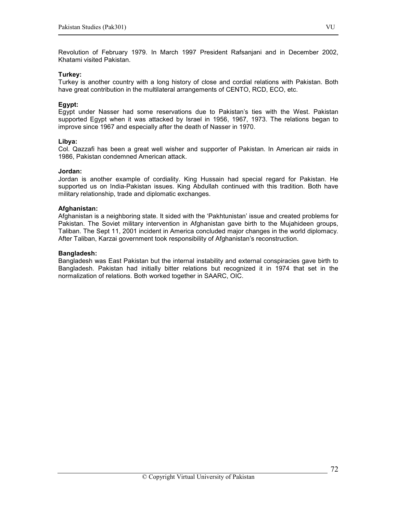Revolution of February 1979. In March 1997 President Rafsanjani and in December 2002, Khatami visited Pakistan.

## Turkey:

Turkey is another country with a long history of close and cordial relations with Pakistan. Both have great contribution in the multilateral arrangements of CENTO, RCD, ECO, etc.

## Egypt:

Egypt under Nasser had some reservations due to Pakistan's ties with the West. Pakistan supported Egypt when it was attacked by Israel in 1956, 1967, 1973. The relations began to improve since 1967 and especially after the death of Nasser in 1970.

#### Libya:

Col. Qazzafi has been a great well wisher and supporter of Pakistan. In American air raids in 1986, Pakistan condemned American attack.

## Jordan:

Jordan is another example of cordiality. King Hussain had special regard for Pakistan. He supported us on India-Pakistan issues. King Abdullah continued with this tradition. Both have military relationship, trade and diplomatic exchanges.

#### Afghanistan:

Afghanistan is a neighboring state. It sided with the 'Pakhtunistan' issue and created problems for Pakistan. The Soviet military intervention in Afghanistan gave birth to the Mujahideen groups, Taliban. The Sept 11, 2001 incident in America concluded major changes in the world diplomacy. After Taliban, Karzai government took responsibility of Afghanistan's reconstruction.

#### Bangladesh:

Bangladesh was East Pakistan but the internal instability and external conspiracies gave birth to Bangladesh. Pakistan had initially bitter relations but recognized it in 1974 that set in the normalization of relations. Both worked together in SAARC, OIC.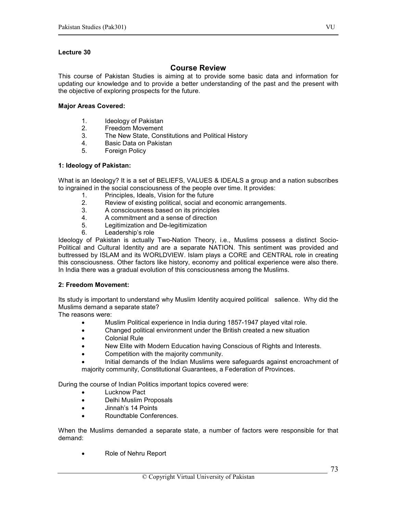### Lecture 30

## Course Review

This course of Pakistan Studies is aiming at to provide some basic data and information for updating our knowledge and to provide a better understanding of the past and the present with the objective of exploring prospects for the future.

#### Major Areas Covered:

- 1. Ideology of Pakistan
- 2. Freedom Movement
- 3. The New State, Constitutions and Political History
- 4. Basic Data on Pakistan
- 5. Foreign Policy

### 1: Ideology of Pakistan:

What is an Ideology? It is a set of BELIEFS, VALUES & IDEALS a group and a nation subscribes to ingrained in the social consciousness of the people over time. It provides:

- 1. Principles, Ideals, Vision for the future
- 2. Review of existing political, social and economic arrangements.<br>3. A consciousness based on its principles
- A consciousness based on its principles
- 4. A commitment and a sense of direction
- 5. Legitimization and De-legitimization
- 6. Leadership's role

Ideology of Pakistan is actually Two-Nation Theory, i.e., Muslims possess a distinct Socio-Political and Cultural Identity and are a separate NATION. This sentiment was provided and buttressed by ISLAM and its WORLDVIEW. Islam plays a CORE and CENTRAL role in creating this consciousness. Other factors like history, economy and political experience were also there. In India there was a gradual evolution of this consciousness among the Muslims.

#### 2: Freedom Movement:

Its study is important to understand why Muslim Identity acquired political salience. Why did the Muslims demand a separate state?

The reasons were:

- Muslim Political experience in India during 1857-1947 played vital role.
- Changed political environment under the British created a new situation
- Colonial Rule
- New Elite with Modern Education having Conscious of Rights and Interests.
- Competition with the majority community.

• Initial demands of the Indian Muslims were safeguards against encroachment of majority community, Constitutional Guarantees, a Federation of Provinces.

During the course of Indian Politics important topics covered were:

- **Lucknow Pact**
- Delhi Muslim Proposals
- Jinnah's 14 Points
- Roundtable Conferences.

When the Muslims demanded a separate state, a number of factors were responsible for that demand:

• Role of Nehru Report